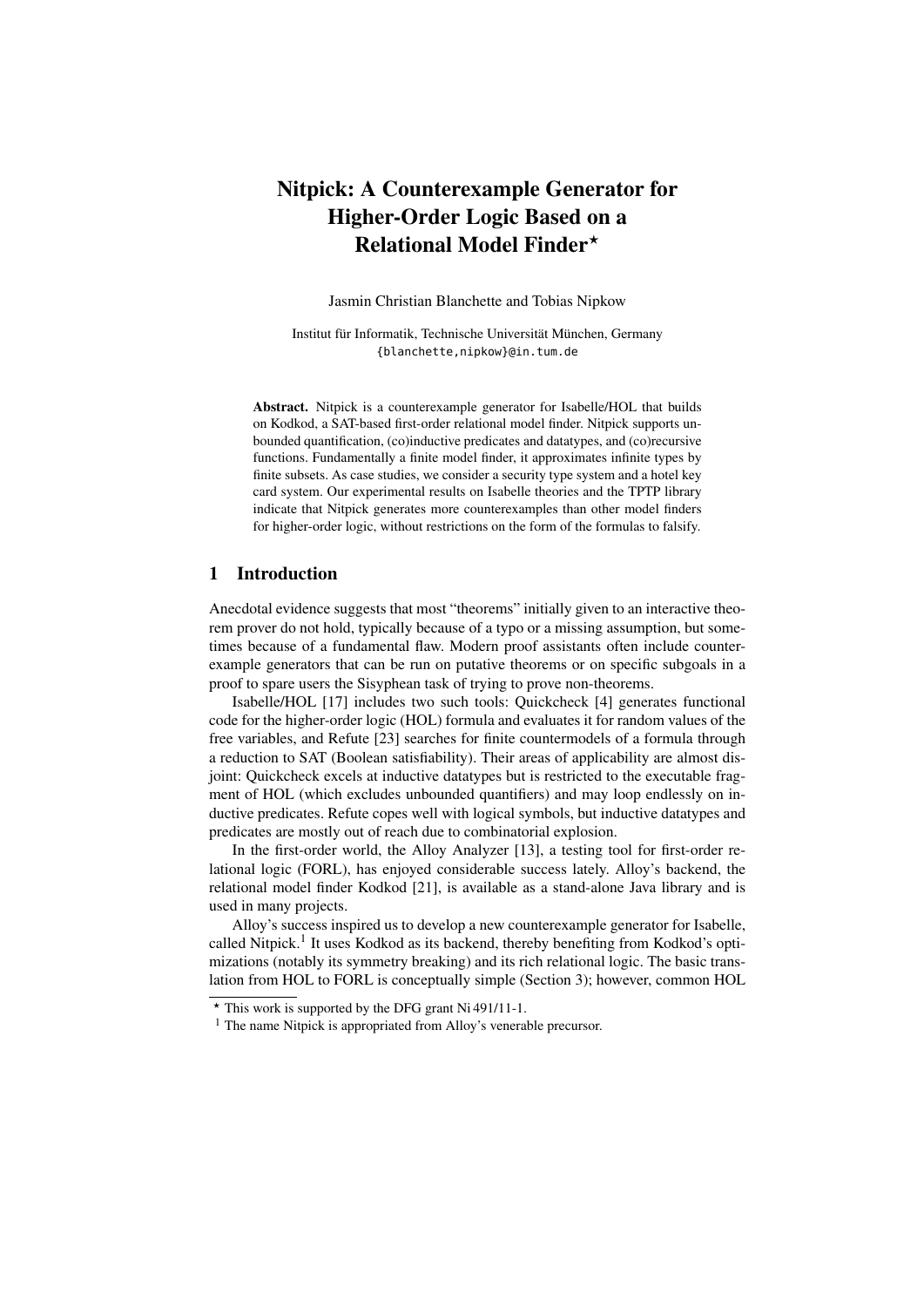# Nitpick: A Counterexample Generator for Higher-Order Logic Based on a Relational Model Finder?

Jasmin Christian Blanchette and Tobias Nipkow

Institut für Informatik, Technische Universität München, Germany {blanchette,nipkow}@in.tum.de

Abstract. Nitpick is a counterexample generator for Isabelle/HOL that builds on Kodkod, a SAT-based first-order relational model finder. Nitpick supports unbounded quantification, (co)inductive predicates and datatypes, and (co)recursive functions. Fundamentally a finite model finder, it approximates infinite types by finite subsets. As case studies, we consider a security type system and a hotel key card system. Our experimental results on Isabelle theories and the TPTP library indicate that Nitpick generates more counterexamples than other model finders for higher-order logic, without restrictions on the form of the formulas to falsify.

# 1 Introduction

Anecdotal evidence suggests that most "theorems" initially given to an interactive theorem prover do not hold, typically because of a typo or a missing assumption, but sometimes because of a fundamental flaw. Modern proof assistants often include counterexample generators that can be run on putative theorems or on specific subgoals in a proof to spare users the Sisyphean task of trying to prove non-theorems.

Isabelle/HOL [17] includes two such tools: Quickcheck [4] generates functional code for the higher-order logic (HOL) formula and evaluates it for random values of the free variables, and Refute [23] searches for finite countermodels of a formula through a reduction to SAT (Boolean satisfiability). Their areas of applicability are almost disjoint: Quickcheck excels at inductive datatypes but is restricted to the executable fragment of HOL (which excludes unbounded quantifiers) and may loop endlessly on inductive predicates. Refute copes well with logical symbols, but inductive datatypes and predicates are mostly out of reach due to combinatorial explosion.

In the first-order world, the Alloy Analyzer [13], a testing tool for first-order relational logic (FORL), has enjoyed considerable success lately. Alloy's backend, the relational model finder Kodkod [21], is available as a stand-alone Java library and is used in many projects.

Alloy's success inspired us to develop a new counterexample generator for Isabelle, called Nitpick.<sup>1</sup> It uses Kodkod as its backend, thereby benefiting from Kodkod's optimizations (notably its symmetry breaking) and its rich relational logic. The basic translation from HOL to FORL is conceptually simple (Section 3); however, common HOL

<sup>?</sup> This work is supported by the DFG grant Ni 491/11-1.

<sup>&</sup>lt;sup>1</sup> The name Nitpick is appropriated from Alloy's venerable precursor.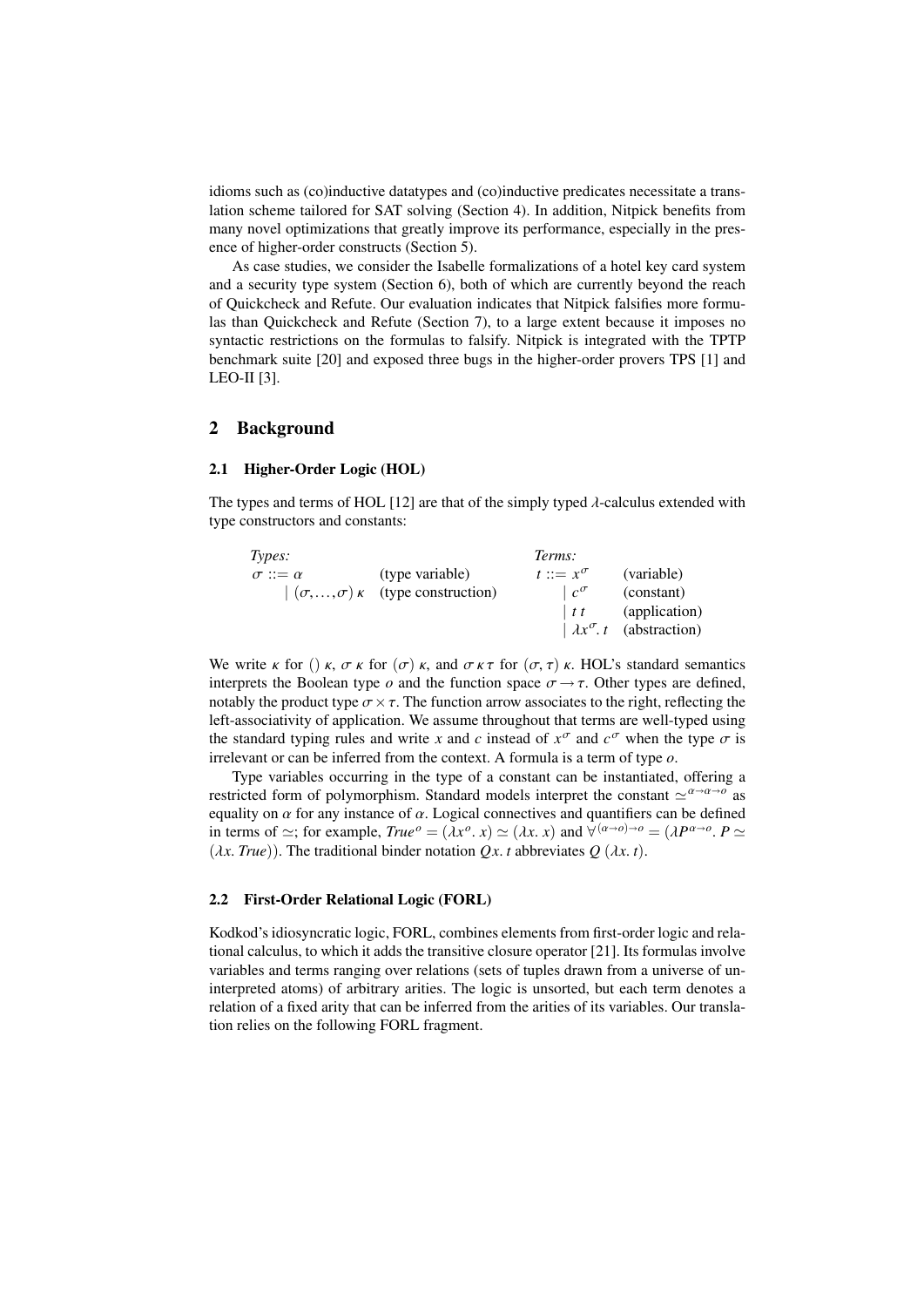idioms such as (co)inductive datatypes and (co)inductive predicates necessitate a translation scheme tailored for SAT solving (Section 4). In addition, Nitpick benefits from many novel optimizations that greatly improve its performance, especially in the presence of higher-order constructs (Section 5).

As case studies, we consider the Isabelle formalizations of a hotel key card system and a security type system (Section 6), both of which are currently beyond the reach of Quickcheck and Refute. Our evaluation indicates that Nitpick falsifies more formulas than Quickcheck and Refute (Section 7), to a large extent because it imposes no syntactic restrictions on the formulas to falsify. Nitpick is integrated with the TPTP benchmark suite [20] and exposed three bugs in the higher-order provers TPS [1] and LEO-II [3].

## 2 Background

### 2.1 Higher-Order Logic (HOL)

The types and terms of HOL [12] are that of the simply typed  $\lambda$ -calculus extended with type constructors and constants:

| Types:              |                                                      | Terms:                       |                                      |
|---------------------|------------------------------------------------------|------------------------------|--------------------------------------|
| $\sigma ::= \alpha$ | (type variable)                                      | $t ::= x^{\sigma}$           | (variable)                           |
|                     | $\mid (\sigma, , \sigma) \kappa$ (type construction) | $\lfloor c^{\sigma} \rfloor$ | (constant)                           |
|                     |                                                      | $\vert t \, t \vert$         | (application)                        |
|                     |                                                      |                              | $\lambda x^{\sigma} t$ (abstraction) |
|                     |                                                      |                              |                                      |

We write  $\kappa$  for ()  $\kappa$ ,  $\sigma \kappa$  for ( $\sigma$ )  $\kappa$ , and  $\sigma \kappa \tau$  for ( $\sigma$ ,  $\tau$ )  $\kappa$ . HOL's standard semantics interprets the Boolean type *o* and the function space  $\sigma \rightarrow \tau$ . Other types are defined, notably the product type  $\sigma \times \tau$ . The function arrow associates to the right, reflecting the left-associativity of application. We assume throughout that terms are well-typed using the standard typing rules and write *x* and *c* instead of  $x^{\sigma}$  and  $c^{\sigma}$  when the type  $\sigma$  is<br>irrelevant or can be inferred from the context. A formula is a term of type  $\sigma$ irrelevant or can be inferred from the context. A formula is a term of type *o*.

Type variables occurring in the type of a constant can be instantiated, offering a restricted form of polymorphism. Standard models interpret the constant  $\sim^{\alpha \to \alpha \to 0}$  as equality on  $\alpha$  for any instance of  $\alpha$ . Logical connectives and quantifiers can be defined in terms of  $\simeq$ ; for example,  $True<sup>o</sup> = (\lambda x<sup>o</sup>, x) \simeq (\lambda x, x)$  and  $\forall^{(\alpha \to o) \to o} = (\lambda P^{\alpha \to o}, P \simeq (\lambda x \text{ Tr} \mu o))$ . The traditional binder notation  $Ox$  *t* abbreviates  $O(\lambda x, t)$ .  $(\lambda x. True)$ ). The traditional binder notation *Qx. t* abbreviates *Q* ( $\lambda x. t$ ).

### 2.2 First-Order Relational Logic (FORL)

Kodkod's idiosyncratic logic, FORL, combines elements from first-order logic and relational calculus, to which it adds the transitive closure operator [21]. Its formulas involve variables and terms ranging over relations (sets of tuples drawn from a universe of uninterpreted atoms) of arbitrary arities. The logic is unsorted, but each term denotes a relation of a fixed arity that can be inferred from the arities of its variables. Our translation relies on the following FORL fragment.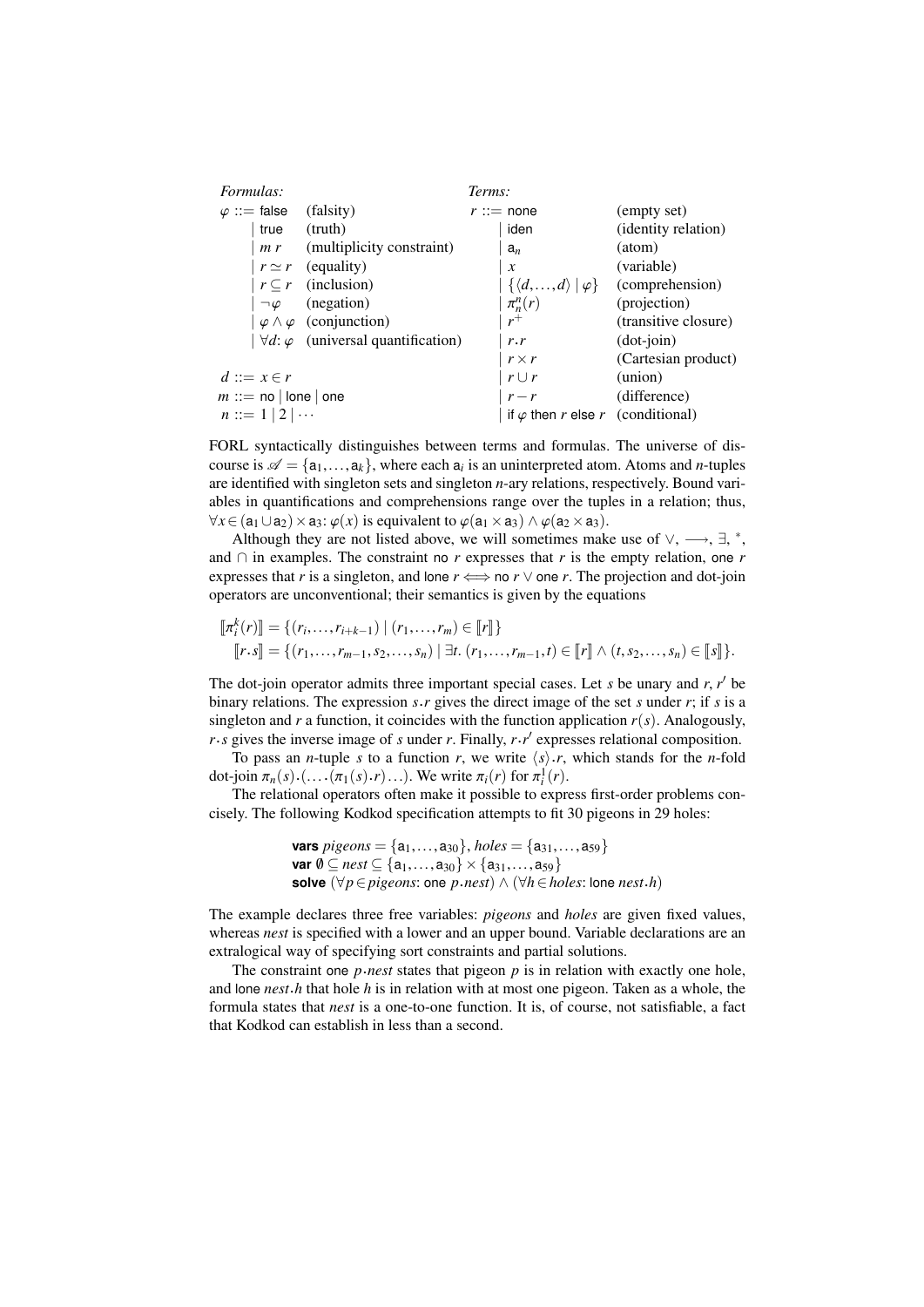| Formulas: |                         |                                                    | Terms: |                                                                      |                      |  |
|-----------|-------------------------|----------------------------------------------------|--------|----------------------------------------------------------------------|----------------------|--|
|           | $\varphi ::=$ false     | (falsity)                                          |        | $r ::=$ none                                                         | (empty set)          |  |
|           | true                    | (truth)                                            |        | iden                                                                 | (identity relation)  |  |
|           |                         | $m r$ (multiplicity constraint)                    |        | $a_n$                                                                | (atom)               |  |
|           |                         | $r \simeq r$ (equality)                            |        | $\boldsymbol{\chi}$                                                  | (variable)           |  |
|           |                         | $r \subseteq r$ (inclusion)                        |        | $\vert \{ \langle d, \ldots, d \rangle \, \vert \, \varphi \} \vert$ | (comprehension)      |  |
|           | $\neg \varphi$          | (negation)                                         |        | $\pi_n^n(r)$                                                         | (projection)         |  |
|           |                         | $\varphi \wedge \varphi$ (conjunction)             |        | $r^+$                                                                | (transitive closure) |  |
|           |                         | $\forall d$ : $\varphi$ (universal quantification) |        | r.r                                                                  | $(dot-join)$         |  |
|           |                         |                                                    |        | $r \times r$                                                         | (Cartesian product)  |  |
|           | $d ::= x \in r$         |                                                    |        | $r \cup r$                                                           | (union)              |  |
|           | $m ::=$ no   lone   one |                                                    |        | $r - r$                                                              | (difference)         |  |
|           | $n ::= 1   2   \cdots$  |                                                    |        | if $\varphi$ then r else r (conditional)                             |                      |  |
|           |                         |                                                    |        |                                                                      |                      |  |

FORL syntactically distinguishes between terms and formulas. The universe of discourse is  $\mathcal{A} = \{a_1, \ldots, a_k\}$ , where each  $a_i$  is an uninterpreted atom. Atoms and *n*-tuples are identified with singleton gets and singleton *n*-ary relations respectively. Bound variare identified with singleton sets and singleton *n*-ary relations, respectively. Bound variables in quantifications and comprehensions range over the tuples in a relation; thus,  $\forall x \in (a_1 \cup a_2) \times a_3$ :  $\varphi(x)$  is equivalent to  $\varphi(a_1 \times a_3) \wedge \varphi(a_2 \times a_3)$ .

Although they are not listed above, we will sometimes make use of  $\vee$ ,  $\longrightarrow$ ,  $\exists$ ,  $^*$ , and ∩ in examples. The constraint no *r* expresses that *r* is the empty relation, one *r* expresses that *r* is a singleton, and lone  $r \leftrightarrow$  no  $r \vee$  one *r*. The projection and dot-join operators are unconventional; their semantics is given by the equations

$$
\llbracket \pi_i^k(r) \rrbracket = \{ (r_i, \ldots, r_{i+k-1}) \mid (r_1, \ldots, r_m) \in \llbracket r \rrbracket \} \llbracket r \rrbracket
$$
\n
$$
\llbracket r \cdot s \rrbracket = \{ (r_1, \ldots, r_{m-1}, s_2, \ldots, s_n) \mid \exists t. (r_1, \ldots, r_{m-1}, t) \in \llbracket r \rrbracket \land (t, s_2, \ldots, s_n) \in \llbracket s \rrbracket \}.
$$

The dot-join operator admits three important special cases. Let *s* be unary and *r*, *r'* be hinary relations. The expression *s r* gives the direct image of the set *s* under *r*; if *s* is a binary relations. The expression  $s \cdot r$  gives the direct image of the set *s* under  $r$ ; if *s* is a singleton and  $r$  a function, it coincides with the function application  $r(s)$ . Analogously,  $r \cdot s$  gives the inverse image of *s* under *r*. Finally,  $r \cdot r'$  expresses relational composition.

To pass an *n*-tuple *s* to a function *r*, we write  $\langle s \rangle \cdot r$ , which stands for the *n*-fold dot-join  $\pi_n(s) \cdot (\ldots \cdot (\pi_1(s) \cdot r) \ldots)$ . We write  $\pi_i(r)$  for  $\pi_i^1(r)$ .<br>The relational operators often make it possible to express

The relational operators often make it possible to express first-order problems concisely. The following Kodkod specification attempts to fit 30 pigeons in 29 holes:

**vars** 
$$
pigeons = \{a_1, \ldots, a_{30}\}, \text{holes} = \{a_{31}, \ldots, a_{59}\}
$$
\n**var**  $\emptyset \subseteq \text{nest} \subseteq \{a_1, \ldots, a_{30}\} \times \{a_{31}, \ldots, a_{59}\}$ \n**solve**  $(\forall p \in \text{pigeons: one } p \cdot \text{nest}) \land (\forall h \in \text{holes: long } \text{nest} \cdot h)$ 

The example declares three free variables: *pigeons* and *holes* are given fixed values, whereas *nest* is specified with a lower and an upper bound. Variable declarations are an extralogical way of specifying sort constraints and partial solutions.

The constraint one *p*.*nest* states that pigeon  $p$  is in relation with exactly one hole, and lone *nest*.*h* that hole *h* is in relation with at most one pigeon. Taken as a whole, the formula states that *nest* is a one-to-one function. It is, of course, not satisfiable, a fact that Kodkod can establish in less than a second.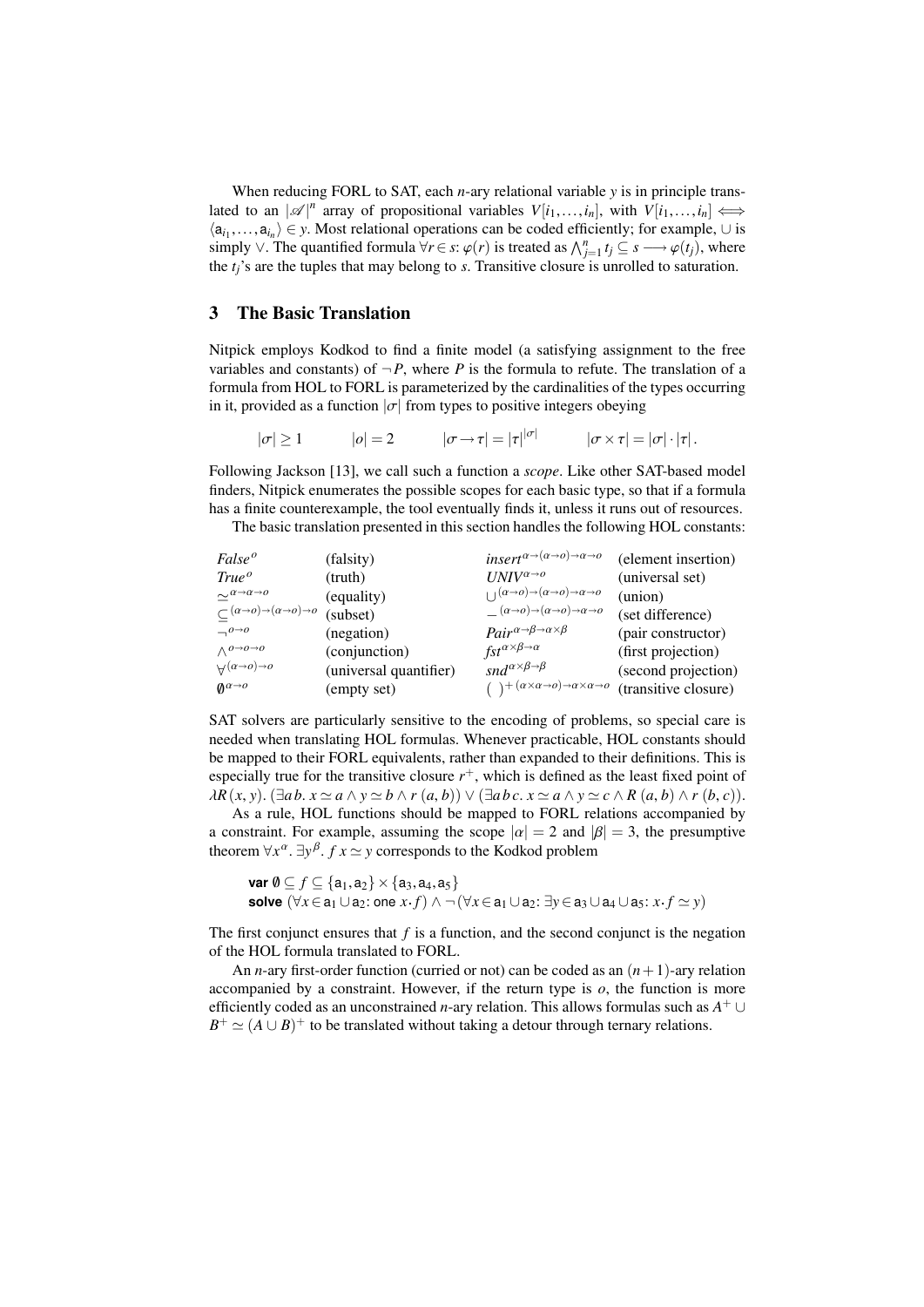When reducing FORL to SAT, each *n*-ary relational variable *y* is in principle translated to an  $|\mathscr{A}|^n$  array of propositional variables  $V[i_1, \ldots, i_n]$ , with  $V[i_1, \ldots, i_n] \iff$  $\langle a_{i_1},...,a_{i_n} \rangle \in y$ . Most relational operations can be coded efficiently; for example,  $\cup$  is simply  $\vee$ . The quantified formula  $\forall r \in s$ ;  $\varphi(r)$  is treated as  $\wedge^n$ ,  $t \subseteq s \longrightarrow \varphi(t)$ , where simply ∨. The quantified formula  $\forall r \in s$ :  $\varphi(r)$  is treated as  $\bigwedge_{j=1}^{n} t_j \subseteq s \longrightarrow \varphi(t_j)$ , where the *tj*'s are the tuples that may belong to *s*. Transitive closure is unrolled to saturation.

# 3 The Basic Translation

Nitpick employs Kodkod to find a finite model (a satisfying assignment to the free variables and constants) of  $\neg P$ , where P is the formula to refute. The translation of a formula from HOL to FORL is parameterized by the cardinalities of the types occurring in it, provided as a function  $|\sigma|$  from types to positive integers obeying

$$
|\sigma| \ge 1 \qquad |\sigma| = 2 \qquad |\sigma \to \tau| = |\tau|^{|\sigma|} \qquad |\sigma \times \tau| = |\sigma| \cdot |\tau|.
$$

Following Jackson [13], we call such a function a *scope*. Like other SAT-based model finders, Nitpick enumerates the possible scopes for each basic type, so that if a formula has a finite counterexample, the tool eventually finds it, unless it runs out of resources.

The basic translation presented in this section handles the following HOL constants:

| False <sup>o</sup>                                                      | (falsity)              | insert <sup><math>\alpha \rightarrow (\alpha \rightarrow o) \rightarrow \alpha \rightarrow o</math></sup> | (element insertion)  |
|-------------------------------------------------------------------------|------------------------|-----------------------------------------------------------------------------------------------------------|----------------------|
| True <sup>o</sup>                                                       | (truth)                | $I/NIV^{\alpha\rightarrow o}$                                                                             | (universal set)      |
| $\sim^{\alpha\rightarrow\alpha\rightarrow o}$                           | (equality)             | $\Box$ $(\alpha \rightarrow o) \rightarrow (\alpha \rightarrow o) \rightarrow \alpha \rightarrow o$       | (union)              |
| $\subset (\alpha \!\to\! o) \!\to\! (\alpha \!\to\! o) \!\to\! o$       | (subset)               | $(\alpha \rightarrow o) \rightarrow (\alpha \rightarrow o) \rightarrow \alpha \rightarrow o$              | (set difference)     |
| $\Box$ <sup>0<math>\rightarrow</math>0</sup>                            | (negation)             | $Pair^{\alpha \rightarrow \beta \rightarrow \alpha \times \beta}$                                         | (pair constructor)   |
| $\wedge$ <sup>0<math>\rightarrow</math>0<math>\rightarrow</math>0</sup> | (conjunction)          | $fst^{\alpha\times\beta\to\alpha}$                                                                        | (first projection)   |
| $\forall^{(\alpha\rightarrow o)\rightarrow o}$                          | (universal quantifier) | snd <sup><math>\alpha \times \beta \rightarrow \beta</math></sup>                                         | (second projection)  |
| $\mathbf{0}^{\alpha \rightarrow o}$                                     | (empty set)            | $( )+( \alpha \times \alpha \rightarrow o) \rightarrow \alpha \times \alpha \rightarrow o$                | (transitive closure) |

SAT solvers are particularly sensitive to the encoding of problems, so special care is needed when translating HOL formulas. Whenever practicable, HOL constants should be mapped to their FORL equivalents, rather than expanded to their definitions. This is especially true for the transitive closure  $r^+$ , which is defined as the least fixed point of  $\lambda R(x, y)$ . ( $\exists a b. x \simeq a \wedge y \simeq b \wedge r(a, b)$ )  $\vee$  ( $\exists a b c. x \simeq a \wedge y \simeq c \wedge R(a, b) \wedge r(b, c)$ ).

As a rule, HOL functions should be mapped to FORL relations accompanied by a constraint. For example, assuming the scope  $|\alpha| = 2$  and  $|\beta| = 3$ , the presumptive theorem  $\forall x^{\alpha}$ .  $\exists y^{\beta}$ . *f*  $x \simeq y$  corresponds to the Kodkod problem

**var** 
$$
\emptyset \subseteq f \subseteq \{a_1, a_2\} \times \{a_3, a_4, a_5\}
$$
  
\n**solve**  $(\forall x \in a_1 \cup a_2 : one \ x.f) \land \neg (\forall x \in a_1 \cup a_2 : \exists y \in a_3 \cup a_4 \cup a_5 : x.f \simeq y)$ 

The first conjunct ensures that *f* is a function, and the second conjunct is the negation of the HOL formula translated to FORL.

An *n*-ary first-order function (curried or not) can be coded as an  $(n+1)$ -ary relation accompanied by a constraint. However, if the return type is *o*, the function is more efficiently coded as an unconstrained *n*-ary relation. This allows formulas such as *A* <sup>+</sup> ∪  $B^+ \simeq (A \cup B)^+$  to be translated without taking a detour through ternary relations.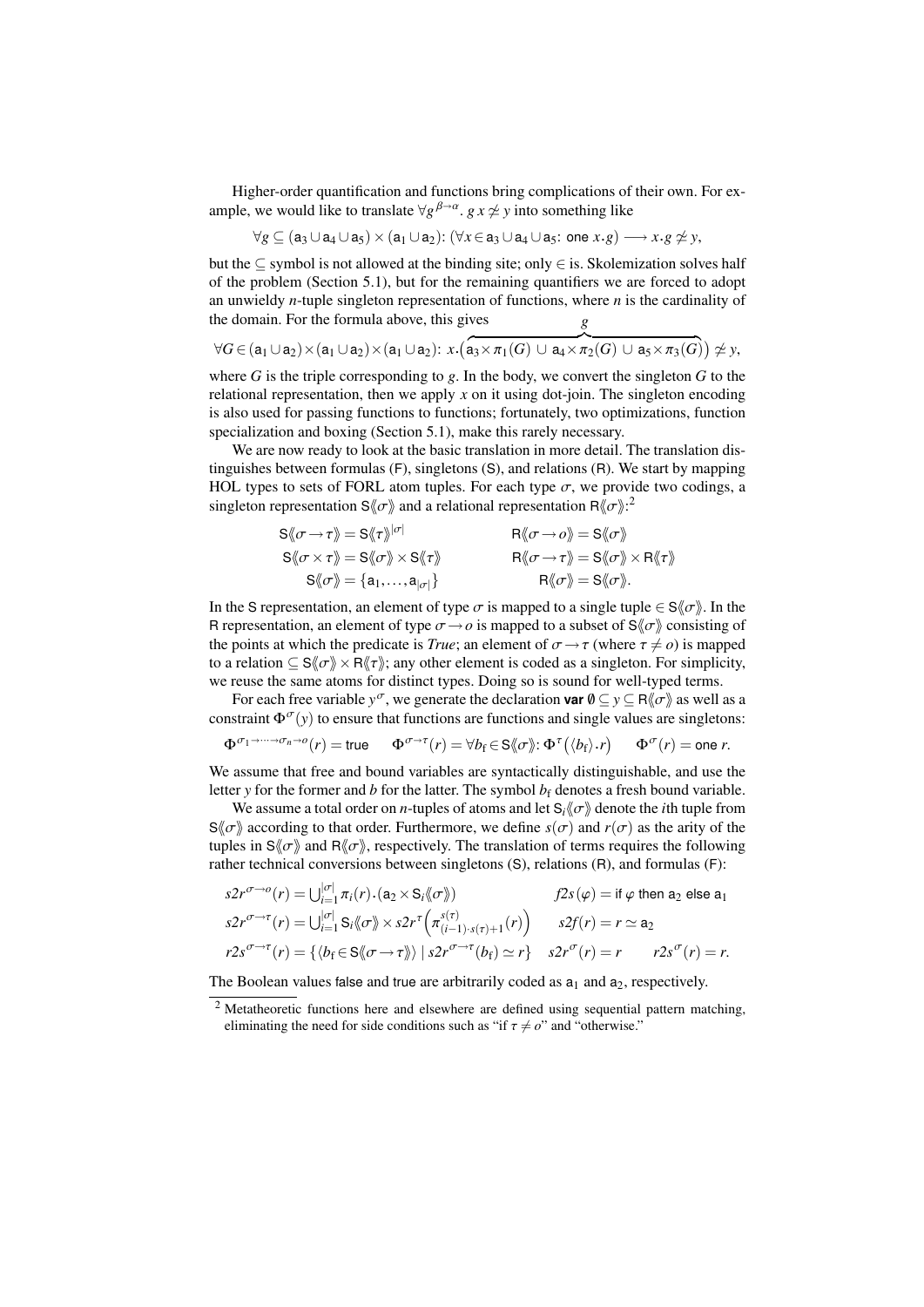Higher-order quantification and functions bring complications of their own. For example, we would like to translate  $\forall g^{\beta \rightarrow \alpha}$ .  $g x \not\simeq y$  into something like

$$
\forall g \subseteq (a_3 \cup a_4 \cup a_5) \times (a_1 \cup a_2) : (\forall x \in a_3 \cup a_4 \cup a_5 : \text{ one } x.g) \longrightarrow x.g \neq y,
$$

but the ⊆ symbol is not allowed at the binding site; only  $\in$  is. Skolemization solves half of the problem (Section 5.1), but for the remaining quantifiers we are forced to adopt an unwieldy *n*-tuple singleton representation of functions, where *n* is the cardinality of the domain. For the formula above, this gives *g*

$$
\forall G \in (a_1 \cup a_2) \times (a_1 \cup a_2) \times (a_1 \cup a_2): x \cdot (a_3 \times \pi_1(G) \cup a_4 \times \pi_2(G) \cup a_5 \times \pi_3(G)) \ncong y,
$$

where *G* is the triple corresponding to *g*. In the body, we convert the singleton *G* to the relational representation, then we apply  $x$  on it using dot-join. The singleton encoding is also used for passing functions to functions; fortunately, two optimizations, function specialization and boxing (Section 5.1), make this rarely necessary.

We are now ready to look at the basic translation in more detail. The translation distinguishes between formulas (F), singletons (S), and relations (R). We start by mapping HOL types to sets of FORL atom tuples. For each type  $\sigma$ , we provide two codings, a singleton representation S $\langle \sigma \rangle$  and a relational representation R $\langle \sigma \rangle$ :

$$
S\langle \sigma \to \tau \rangle = S\langle \tau \rangle^{|\sigma|} \qquad R\langle \sigma \to \sigma \rangle = S\langle \sigma \rangle
$$
  
\n
$$
S\langle \sigma \times \tau \rangle = S\langle \sigma \rangle \times S\langle \tau \rangle \qquad R\langle \sigma \to \tau \rangle = S\langle \sigma \rangle \times R\langle \tau \rangle
$$
  
\n
$$
S\langle \sigma \rangle = \{a_1, ..., a_{|\sigma|}\} \qquad R\langle \sigma \rangle = S\langle \sigma \rangle.
$$

In the S representation, an element of type  $\sigma$  is mapped to a single tuple  $\in S(\sigma)$ . In the B representation, an element of type  $\sigma \rightarrow o$  is mapped to a subset of  $S/\sigma$ ), consisting of R representation, an element of type  $\sigma \rightarrow o$  is mapped to a subset of  $S\langle\sigma\rangle$  consisting of the points at which the predicate is *True*; an element of  $\sigma \rightarrow \tau$  (where  $\tau \neq o$ ) is mapped to a relation  $\subseteq S\langle\!\langle \sigma \rangle\!\rangle \times R\langle\!\langle \tau \rangle\!\rangle$ ; any other element is coded as a singleton. For simplicity, we reuse the same atoms for distinct types. Doing so is sound for well-typed terms.

For each free variable  $y^{\sigma}$ , we generate the declaration **var**  $\emptyset \subseteq y \subseteq R\{\sigma\}$  as well as a straint  $\Phi^{\sigma}(y)$  to ensure that functions are functions and single values are singletons: constraint  $\Phi^{\sigma}(y)$  to ensure that functions are functions and single values are singletons:

$$
\Phi^{\sigma_1 \to \cdots \to \sigma_n \to o}(r) = \text{true} \qquad \Phi^{\sigma \to \tau}(r) = \forall b_f \in S \langle \sigma \rangle : \Phi^{\tau}(\langle b_f \rangle \cdot r) \qquad \Phi^{\sigma}(r) = \text{one } r.
$$

We assume that free and bound variables are syntactically distinguishable, and use the letter *y* for the former and *b* for the latter. The symbol  $b_f$  denotes a fresh bound variable.

We assume a total order on *n*-tuples of atoms and let  $S_i \langle \sigma \rangle$  denote the *i*th tuple from  $S(\sigma)$  according to that order. Furthermore, we define  $s(\sigma)$  and  $r(\sigma)$  as the arity of the tuples in  $S\langle \sigma \rangle$  and  $R\langle \sigma \rangle$ , respectively. The translation of terms requires the following rather technical conversions between singletons (S), relations (R), and formulas (F):

$$
s2r^{\sigma\rightarrow o}(r) = \bigcup_{i=1}^{|\sigma|} \pi_i(r) \cdot (a_2 \times S_i \langle \sigma \rangle) \qquad f2s(\varphi) = \text{if } \varphi \text{ then } a_2 \text{ else } a_1
$$
  
\n
$$
s2r^{\sigma\rightarrow \tau}(r) = \bigcup_{i=1}^{|\sigma|} S_i \langle \sigma \rangle \times s2r^{\tau} \left( \pi_{(i-1)\cdot s(\tau)+1}^{s(\tau)}(r) \right) \qquad s2f(r) = r \simeq a_2
$$
  
\n
$$
r2s^{\sigma\rightarrow \tau}(r) = \{ \langle b_f \in S \langle \sigma \rightarrow \tau \rangle \rangle \mid s2r^{\sigma\rightarrow \tau}(b_f) \simeq r \} \qquad s2r^{\sigma}(r) = r \qquad r2s^{\sigma}(r) = r.
$$

The Boolean values false and true are arbitrarily coded as  $a_1$  and  $a_2$ , respectively.

<sup>&</sup>lt;sup>2</sup> Metatheoretic functions here and elsewhere are defined using sequential pattern matching, eliminating the need for side conditions such as "if  $\tau \neq o$ " and "otherwise."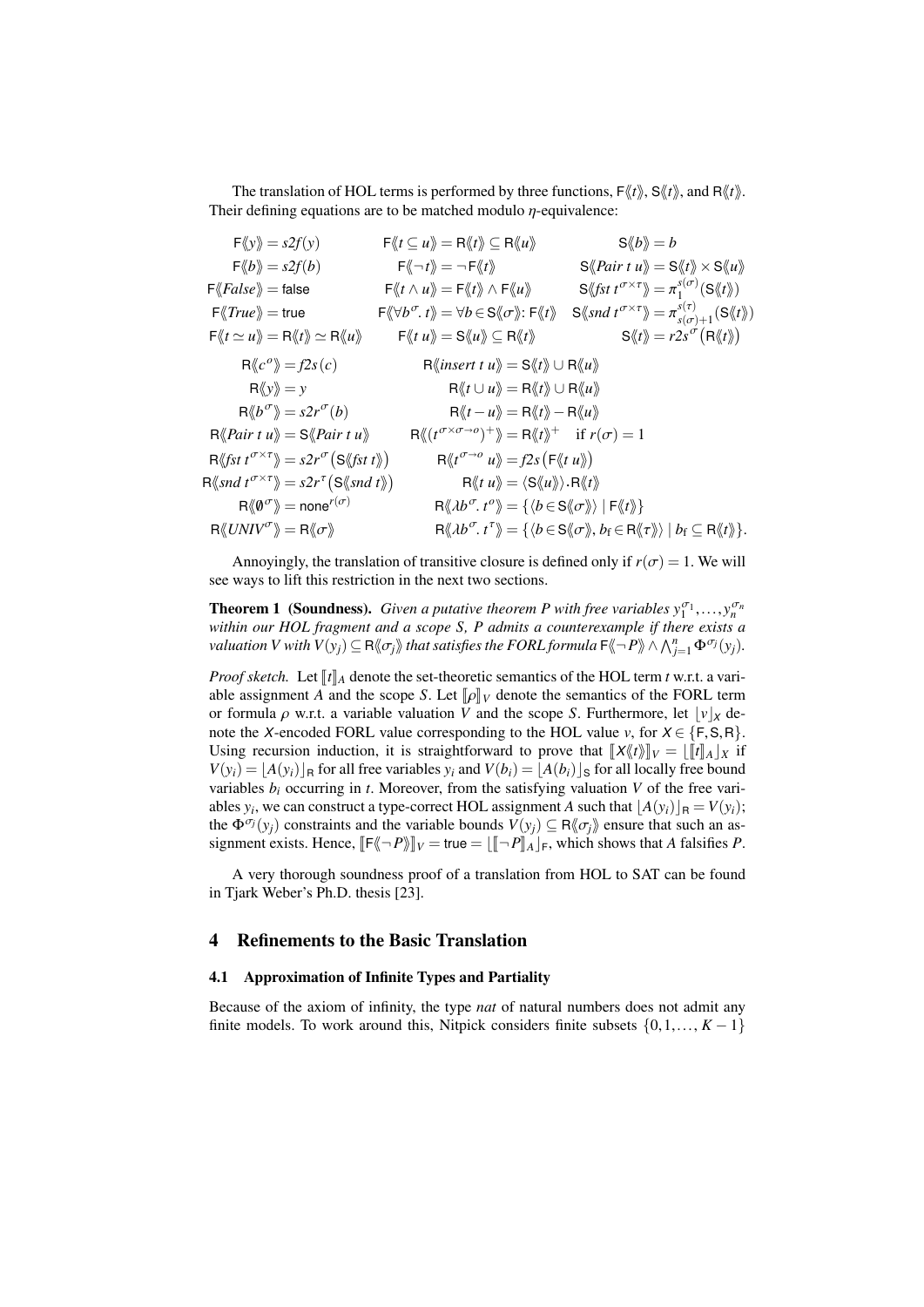The translation of HOL terms is performed by three functions,  $F\langle t \rangle$ ,  $S\langle t \rangle$ , and  $R\langle t \rangle$ . Their defining equations are to be matched modulo  $\eta$ -equivalence:

| $F\langle y \rangle = s2f(y)$                                                                                                                                 | $\mathsf{F}\langle\!\langle t\subseteq u\rangle\!\rangle = \mathsf{R}\langle\!\langle t\rangle\!\rangle \subseteq \mathsf{R}\langle\!\langle u\rangle\!\rangle$                                   | $S\langle b \rangle = b$                                                                                                                                                                                                                                                                         |
|---------------------------------------------------------------------------------------------------------------------------------------------------------------|---------------------------------------------------------------------------------------------------------------------------------------------------------------------------------------------------|--------------------------------------------------------------------------------------------------------------------------------------------------------------------------------------------------------------------------------------------------------------------------------------------------|
| $F\langle b \rangle = s2f(b)$                                                                                                                                 | $\ket{\mathsf{F}\!\!\bra{{}^\frown t}} = \neg\, \mathsf{F}\!\!\bra{t}$                                                                                                                            | $\mathcal{S}\langle \langle Pair t u \rangle \rangle = \mathcal{S}\langle t \rangle \rangle \times \mathcal{S}\langle u \rangle$                                                                                                                                                                 |
| $F\langle False \rangle =$ false                                                                                                                              | $\mathsf{F}\langle\!\langle t\wedge u\rangle\!\rangle = \mathsf{F}\langle\!\langle t\rangle\!\rangle \wedge \mathsf{F}\langle\!\langle u\rangle\!\rangle$                                         | $S\langle \text{fst } t^{\sigma \times \tau} \rangle = \pi_1^{s(\sigma)}(S\langle \text{t} \rangle)$                                                                                                                                                                                             |
| $F\langle True \rangle =$ true                                                                                                                                | $\mathsf{F}\langle\!\langle \forall b^\sigma\!,t\rangle\!\rangle = \forall b\!\in\!\mathsf{S}\langle\!\langle \sigma\rangle\!\rangle\!\!:\mathsf{F}\langle\!\langle t\rangle\!\rangle$            | $\mathbf{S} \langle \mathit{snd} \ t^{\sigma \times \tau} \rangle = \pi^{s(\tau)}_{s(\sigma)+1}(\mathbf{S} \langle \mathit{tr} \rangle)$                                                                                                                                                         |
| $\mathsf{F}\langle\!\langle t \simeq u \rangle\!\rangle = \mathsf{R}\langle\!\langle t \rangle\!\rangle \simeq \mathsf{R}\langle\!\langle u \rangle\!\rangle$ | $\mathsf{F}\langle\!\langle t u\rangle\!\rangle = \mathsf{S}\langle\!\langle u\rangle\!\rangle \subseteq \mathsf{R}\langle\!\langle t\rangle\!\rangle$                                            | $S\langle t\rangle = r2s^{\sigma}(R\langle t\rangle)$                                                                                                                                                                                                                                            |
| $\mathsf{R}\langle c^o\rangle = f2s(c)$                                                                                                                       | $\mathsf{R}\langle$ <i>insert t u</i> $\rangle = \mathsf{S}\langle t \rangle \cup \mathsf{R}\langle u \rangle$                                                                                    |                                                                                                                                                                                                                                                                                                  |
| $\mathsf{R}\langle\!\langle y \rangle\!\rangle = y$                                                                                                           | $\mathsf{R}\langle\!\langle t\cup u\rangle\!\rangle = \mathsf{R}\langle\!\langle t\rangle\!\rangle \cup \mathsf{R}\langle\!\langle u\rangle\!\rangle$                                             |                                                                                                                                                                                                                                                                                                  |
| $R\langle b^{\sigma}\rangle = s2r^{\sigma}(b)$                                                                                                                | $\mathsf{R}\langle\!\langle t-u \rangle\!\rangle = \mathsf{R}\langle\!\langle t \rangle\!\rangle - \mathsf{R}\langle\!\langle u \rangle\!\rangle$                                                 |                                                                                                                                                                                                                                                                                                  |
| $R\langle$ <i>Pairtu</i> $\rangle$ = S $\langle$ <i>Pairtu</i> $\rangle$                                                                                      | $\mathsf{R}\langle\!\langle (t^{\sigma \times \sigma \to o})^+\rangle\!\rangle = \mathsf{R}\langle\!\langle t\rangle\!\rangle^+ \quad \text{if } r(\sigma) = 1$                                   |                                                                                                                                                                                                                                                                                                  |
| $\mathsf{R} \langle \mathit{fst} \, t^{\sigma \times \tau} \rangle = s2r^{\sigma} \big( \mathsf{S} \langle \mathit{fst} \, t \rangle \big)$                   | $\mathsf{R}\langle t^{\sigma\rightarrow o}\ u\rangle = f2s\left(\mathsf{F}\langle t\ u\rangle\right)$                                                                                             |                                                                                                                                                                                                                                                                                                  |
| $\mathsf{R}\langle\mathit{snd}\ t^{\sigma\times\tau}\rangle\!\rangle = s2r^{\tau}\big(\mathsf{S}\langle\!\langle\mathit{snd}\ t\rangle\!\rangle\big)$         | $R\langle\!\langle t\,u\rangle\!\rangle = \langle S\langle\!\langle u\rangle\!\rangle\rangle$ . $R\langle\!\langle t\rangle\!\rangle$                                                             |                                                                                                                                                                                                                                                                                                  |
| $\mathsf{R}\langle\!\langle \boldsymbol{\emptyset}^\sigma\rangle\!\rangle = \mathsf{none}^{r(\sigma)}$                                                        | $\mathsf{R}\langle\!\langle \lambda b^\sigma, t^\sigma\rangle\!\rangle = \{\langle b\!\in\! \mathsf{S}\langle\!\langle \sigma\rangle\!\rangle\, \,\mathsf{F}\langle\!\langle t\rangle\!\rangle\}$ |                                                                                                                                                                                                                                                                                                  |
| $R\langle UNIV^{\sigma}\rangle = R\langle\!\langle \sigma \rangle\!\rangle$                                                                                   |                                                                                                                                                                                                   | $\mathsf{R}\langle\!\langle \lambda b^\sigma\!, t^\tau\rangle\!\rangle = \{ \langle b\!\in\!\mathsf{S}\langle\!\langle \sigma\rangle\!\rangle, b_{\mathrm{f}}\!\in\!\mathsf{R}\langle\!\langle \tau\rangle\!\rangle \mid b_{\mathrm{f}}\subseteq\mathsf{R}\langle\!\langle t\rangle\!\rangle\}.$ |
|                                                                                                                                                               |                                                                                                                                                                                                   |                                                                                                                                                                                                                                                                                                  |

Annoyingly, the translation of transitive closure is defined only if  $r(\sigma) = 1$ . We will see ways to lift this restriction in the next two sections.

**Theorem 1 (Soundness).** Given a putative theorem P with free variables  $y_1^{\sigma_1}, \ldots, y_n^{\sigma_n}$ <br>within our HOL fragment and a scope S. P admits a counterexample if there exists a *within our HOL fragment and a scope S, P admits a counterexample if there exists a valuation V* with  $V(y_j) \subseteq \mathsf{R}\langle\!\langle \sigma_j \rangle\!\rangle$  that satisfies the FORL formula  $\mathsf{F}\langle\!\langle \neg P \rangle\!\rangle \wedge \bigwedge_{j=1}^n \Phi^{\sigma_j}(y_j)$ .

*Proof sketch.* Let  $\llbracket t \rrbracket_A$  denote the set-theoretic semantics of the HOL term *t* w.r.t. a variable assignment *A* and the scope *S*. Let  $\llbracket \rho \rrbracket_V$  denote the semantics of the FORL term or formula  $\rho$  w.r.t. a variable valuation *V* and the scope *S*. Furthermore, let  $|v|_X$  denote the *X*-encoded FORL value corresponding to the HOL value *v*, for  $X \in \{F, S, R\}$ . Using recursion induction, it is straightforward to prove that  $\frac{\mathbb{I}X\langle f \rangle}{\mathbb{I}_V} = \frac{\mathbb{I}I}{\mathbb{I}_A}\mathbb{I}_X$  if  $V(y_i) = |A(y_i)|_P$  for all free variables  $y_i$  and  $V(b_i) = |A(b_i)|_S$  for all locally free bound variables  $b_i$  occurring in  $t$ . Moreover, from the satisfying valuation  $V$  of the free variables  $y_i$ , we can construct a type-correct HOL assignment *A* such that  $\lfloor A(y_i) \rfloor_R = V(y_i)$ ; the  $\Phi^{\sigma_j}(y_i)$  constraints and the variable bounds  $V(y_i) \subseteq \mathbb{R}\langle\!\langle \sigma_i \rangle\!\rangle$  ensure that such an assignment exists. Hence,  $\llbracket \mathsf{F}\llbracket \neg P \rrbracket_V = \text{true} = \llbracket \llbracket \neg P \rrbracket_A \rrbracket_\mathsf{F}$ , which shows that *A* falsifies *P*.

A very thorough soundness proof of a translation from HOL to SAT can be found in Tjark Weber's Ph.D. thesis [23].

### 4 Refinements to the Basic Translation

# 4.1 Approximation of Infinite Types and Partiality

Because of the axiom of infinity, the type *nat* of natural numbers does not admit any finite models. To work around this, Nitpick considers finite subsets  $\{0,1,\ldots, K-1\}$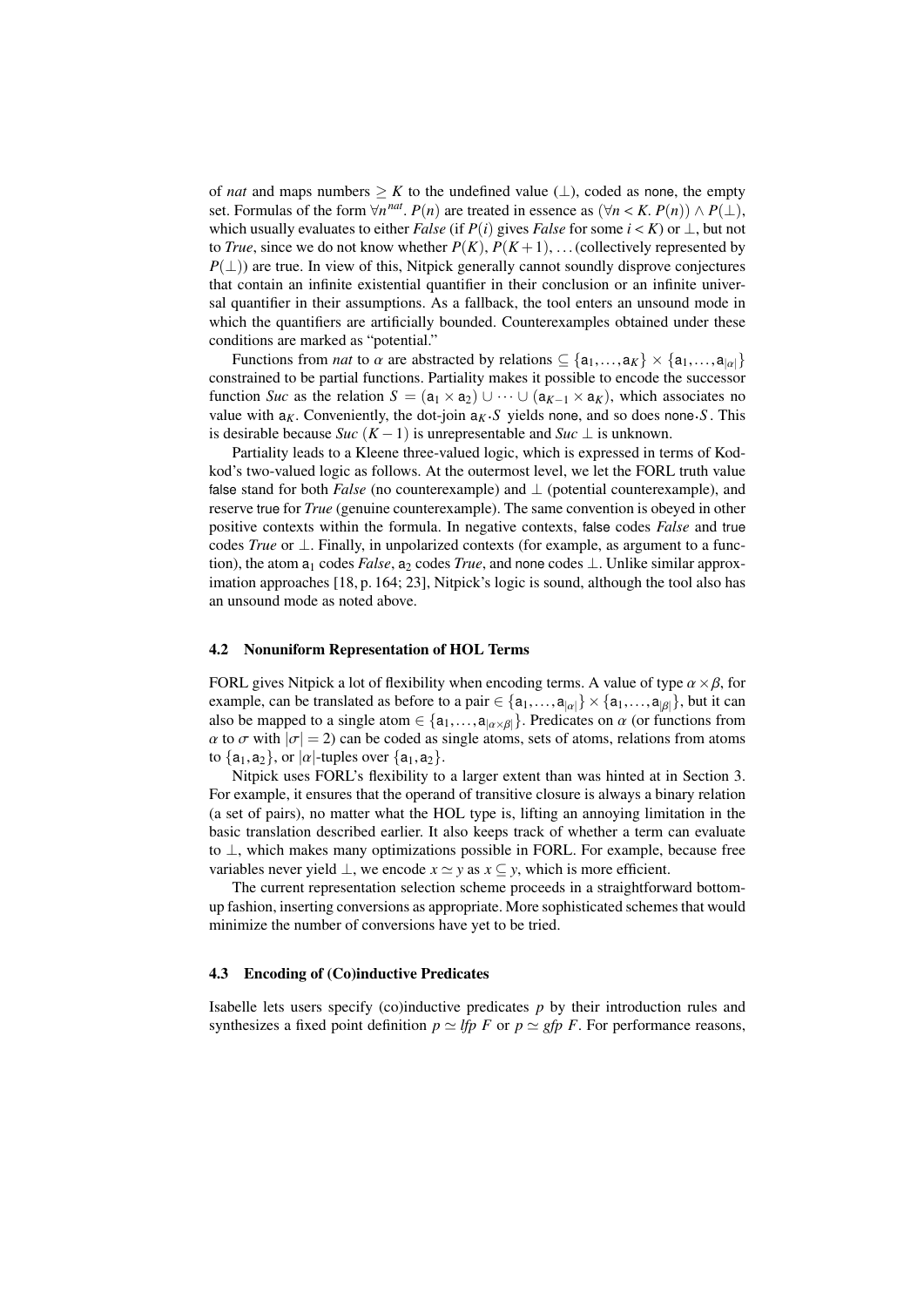of *nat* and maps numbers  $\geq K$  to the undefined value ( $\perp$ ), coded as none, the empty set. Formulas of the form  $\forall n^{nat}$ .  $P(n)$  are treated in essence as  $(\forall n < K, P(n)) \land P(\bot)$ ,<br>which usually evaluates to either *Ealse* (if  $P(i)$  gives *Ealse* for some  $i < K$ ) or  $\bot$  but not which usually evaluates to either *False* (if  $P(i)$  gives *False* for some  $i < K$ ) or  $\perp$ , but not to *True*, since we do not know whether  $P(K)$ ,  $P(K+1)$ , ... (collectively represented by  $P(\perp)$ ) are true. In view of this, Nitpick generally cannot soundly disprove conjectures that contain an infinite existential quantifier in their conclusion or an infinite universal quantifier in their assumptions. As a fallback, the tool enters an unsound mode in which the quantifiers are artificially bounded. Counterexamples obtained under these conditions are marked as "potential."

Functions from *nat* to  $\alpha$  are abstracted by relations  $\subseteq \{a_1,...,a_K\} \times \{a_1,...,a_{|\alpha|}\}\$ constrained to be partial functions. Partiality makes it possible to encode the successor function *Suc* as the relation  $S = (\mathsf{a}_1 \times \mathsf{a}_2) \cup \cdots \cup (\mathsf{a}_{K-1} \times \mathsf{a}_K)$ , which associates no value with  $a_K$ . Conveniently, the dot-join  $a_K$ . S yields none, and so does none. S. This is desirable because *Suc* ( $K-1$ ) is unrepresentable and *Suc*  $\perp$  is unknown.

Partiality leads to a Kleene three-valued logic, which is expressed in terms of Kodkod's two-valued logic as follows. At the outermost level, we let the FORL truth value false stand for both *False* (no counterexample) and ⊥ (potential counterexample), and reserve true for *True* (genuine counterexample). The same convention is obeyed in other positive contexts within the formula. In negative contexts, false codes *False* and true codes *True* or ⊥. Finally, in unpolarized contexts (for example, as argument to a function), the atom  $a_1$  codes *False*,  $a_2$  codes *True*, and none codes  $\perp$ . Unlike similar approximation approaches [18, p. 164; 23], Nitpick's logic is sound, although the tool also has an unsound mode as noted above.

#### 4.2 Nonuniform Representation of HOL Terms

FORL gives Nitpick a lot of flexibility when encoding terms. A value of type  $\alpha \times \beta$ , for example, can be translated as before to a pair  $\in \{\mathsf{a}_1,\ldots,\mathsf{a}_{|\alpha|}\}\times \{\mathsf{a}_1,\ldots,\mathsf{a}_{|\beta|}\}\,$ , but it can also be mapped to a single atom  $\in \{a_1,...,a_{|\alpha \times \beta|}\}\.$  Predicates on  $\alpha$  (or functions from  $\alpha$  to  $\sigma$  with  $|\sigma| = 2$ ) can be coded as single atoms, sets of atoms, relations from atoms to  $\{a_1, a_2\}$ , or  $|\alpha|$ -tuples over  $\{a_1, a_2\}$ .

Nitpick uses FORL's flexibility to a larger extent than was hinted at in Section 3. For example, it ensures that the operand of transitive closure is always a binary relation (a set of pairs), no matter what the HOL type is, lifting an annoying limitation in the basic translation described earlier. It also keeps track of whether a term can evaluate to ⊥, which makes many optimizations possible in FORL. For example, because free variables never yield  $\bot$ , we encode  $x \simeq y$  as  $x \subseteq y$ , which is more efficient.

The current representation selection scheme proceeds in a straightforward bottomup fashion, inserting conversions as appropriate. More sophisticated schemes that would minimize the number of conversions have yet to be tried.

#### 4.3 Encoding of (Co)inductive Predicates

Isabelle lets users specify (co)inductive predicates *p* by their introduction rules and synthesizes a fixed point definition  $p \simeq lfp$  *F* or  $p \simeq gfp$  *F*. For performance reasons,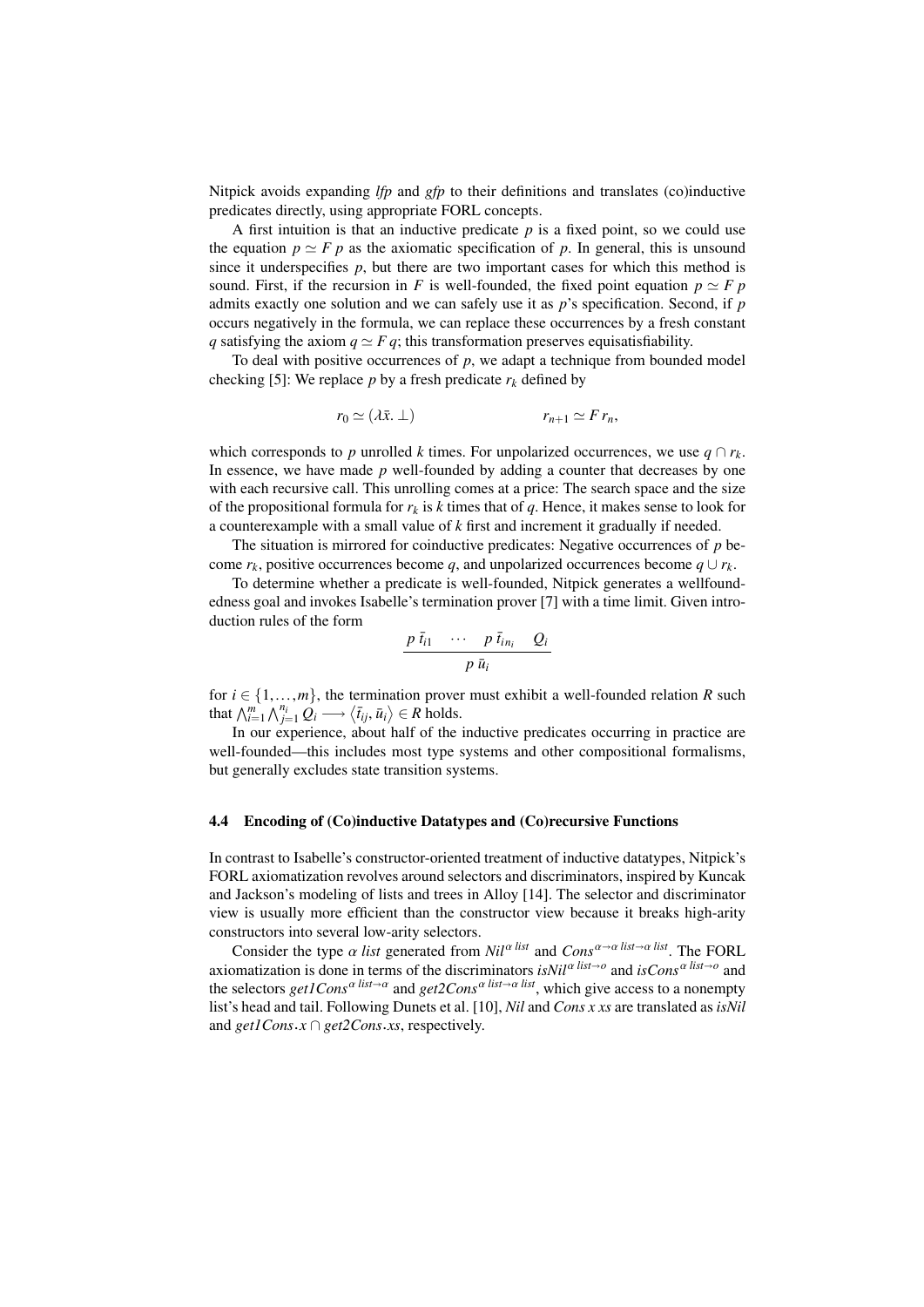Nitpick avoids expanding *lfp* and *gfp* to their definitions and translates (co)inductive predicates directly, using appropriate FORL concepts.

A first intuition is that an inductive predicate *p* is a fixed point, so we could use the equation  $p \simeq F p$  as the axiomatic specification of p. In general, this is unsound since it underspecifies  $p$ , but there are two important cases for which this method is sound. First, if the recursion in *F* is well-founded, the fixed point equation  $p \simeq F p$ admits exactly one solution and we can safely use it as *p*'s specification. Second, if *p* occurs negatively in the formula, we can replace these occurrences by a fresh constant *q* satisfying the axiom  $q \simeq F q$ ; this transformation preserves equisatisfiability.

To deal with positive occurrences of *p*, we adapt a technique from bounded model checking [5]: We replace *p* by a fresh predicate  $r_k$  defined by

$$
r_0 \simeq (\lambda \bar{x}. \perp) \qquad \qquad r_{n+1} \simeq F r_n,
$$

which corresponds to *p* unrolled *k* times. For unpolarized occurrences, we use  $q \cap r_k$ . In essence, we have made *p* well-founded by adding a counter that decreases by one with each recursive call. This unrolling comes at a price: The search space and the size of the propositional formula for  $r_k$  is  $k$  times that of  $q$ . Hence, it makes sense to look for a counterexample with a small value of *k* first and increment it gradually if needed.

The situation is mirrored for coinductive predicates: Negative occurrences of *p* become  $r_k$ , positive occurrences become *q*, and unpolarized occurrences become  $q \cup r_k$ .

To determine whether a predicate is well-founded, Nitpick generates a wellfoundedness goal and invokes Isabelle's termination prover [7] with a time limit. Given introduction rules of the form

$$
\frac{p \,\overline{t}_{i1} \quad \cdots \quad p \,\overline{t}_{i n_i} \quad Q_i}{p \,\overline{u}_i}
$$

for  $i \in \{1, \ldots, m\}$ , the termination prover must exhibit a well-founded relation *R* such that  $\bigwedge_{i=1}^{m} \bigwedge_{j=1}^{n_i} Q_i \longrightarrow \langle \overline{t}_{ij}, \overline{u}_i \rangle \in R$  holds.

In our experience, about half of the inductive predicates occurring in practice are well-founded—this includes most type systems and other compositional formalisms, but generally excludes state transition systems.

#### 4.4 Encoding of (Co)inductive Datatypes and (Co)recursive Functions

In contrast to Isabelle's constructor-oriented treatment of inductive datatypes, Nitpick's FORL axiomatization revolves around selectors and discriminators, inspired by Kuncak and Jackson's modeling of lists and trees in Alloy [14]. The selector and discriminator view is usually more efficient than the constructor view because it breaks high-arity constructors into several low-arity selectors.

Consider the type  $\alpha$  *list* generated from  $Nil^{\alpha$  *list* and  $Cons^{\alpha \rightarrow \alpha}$  *list* $\rightarrow \alpha$  *list*. The FORL axiomatization is done in terms of the discriminators  $\frac{isNil^{\alpha}}{ist\rightarrow o}$  and  $\frac{isCons^{\alpha}}{ist\rightarrow o}$  and the selectors *get1Cons*<sup>α *list*→α</sup> and *get2Cons*<sup>α *list*→α *list*, which give access to a nonempty</sup> list's head and tail. Following Dunets et al. [10], *Nil* and *Cons x xs* are translated as *isNil* and *get1Cons*.*x* ∩ *get2Cons*.*xs*, respectively.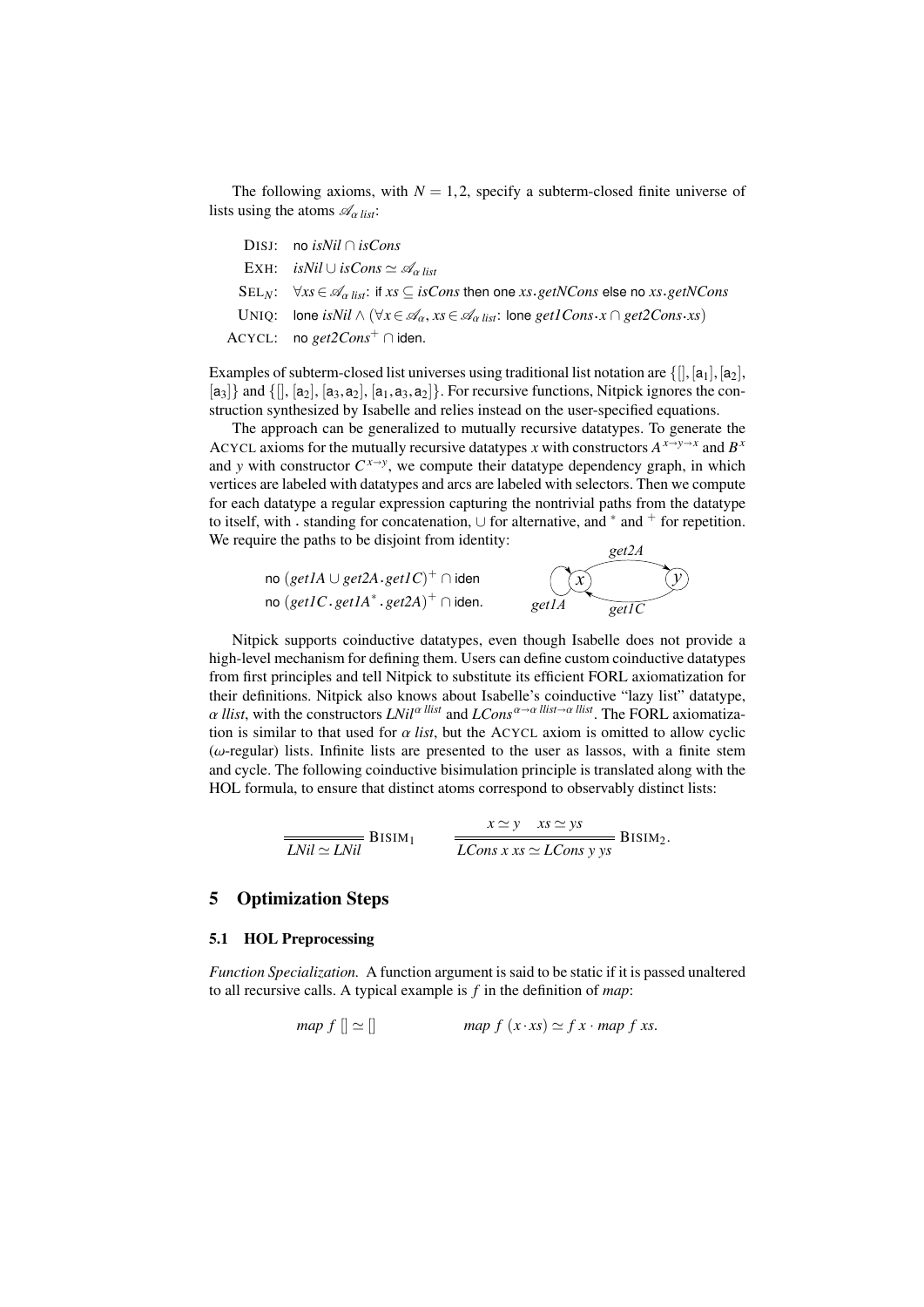The following axioms, with  $N = 1, 2$ , specify a subterm-closed finite universe of lists using the atoms  $\mathcal{A}_{\alpha\textit{list}}$ :

| DISJ: no <i>isNil</i> $\cap$ <i>isCons</i>                                                                                                           |
|------------------------------------------------------------------------------------------------------------------------------------------------------|
| EXH: is Nil $\cup$ is Cons $\simeq \mathscr{A}_{\alpha\text{ list}}$                                                                                 |
| $SEL_N$ : $\forall xs \in \mathcal{A}_{\alpha}$ list: if $xs \subseteq isCons$ then one $xs.getNCons$ else no $xs.getNCons$                          |
| UNIQ: lone isNil $\wedge$ $(\forall x \in \mathcal{A}_{\alpha}, xs \in \mathcal{A}_{\alpha list})$ : lone get1Cons $\cdot x \cap get2Cons \cdot xs)$ |
| ACYCL: no $get2Cons^+ \cap$ iden.                                                                                                                    |
|                                                                                                                                                      |

Examples of subterm-closed list universes using traditional list notation are  $\{[\cdot, [a_1], [a_2],$  $[a_3]$  and  $\{[]$ ,  $[a_2]$ ,  $[a_3, a_2]$ ,  $[a_1, a_3, a_2]$ . For recursive functions, Nitpick ignores the construction synthesized by Isabelle and relies instead on the user-specified equations.

The approach can be generalized to mutually recursive datatypes. To generate the ACYCL axioms for the mutually recursive datatypes *x* with constructors  $A^{x \to y \to x}$  and  $B^x$ and *y* with constructor  $C^{x \to y}$ , we compute their datatype dependency graph, in which vertices are labeled with datatypes and arcs are labeled with selectors. Then we compute for each datatype a regular expression capturing the nontrivial paths from the datatype to itself, with  $\cdot$  standing for concatenation,  $\cup$  for alternative, and  $*$  and  $\dagger$  for repetition. We require the paths to be disjoint from identity: *get2A* 

| no $(\text{get1A} \cup \text{get2A.get1C})^+ \cap \text{iden}$ | $\bigcirc x$   | $\widehat{(\mathcal{Y})}$ |
|----------------------------------------------------------------|----------------|---------------------------|
| no $(getIC.getIA^*.get2A)^+ \cap iden.$                        | get1A<br>getIC |                           |

Nitpick supports coinductive datatypes, even though Isabelle does not provide a high-level mechanism for defining them. Users can define custom coinductive datatypes from first principles and tell Nitpick to substitute its efficient FORL axiomatization for their definitions. Nitpick also knows about Isabelle's coinductive "lazy list" datatype,  $\alpha$  *llist*, with the constructors *LNil<sup>α llist</sup>* and *LCons*<sup> $\alpha \rightarrow \alpha$  *llist*, The FORL axiomatiza-</sup> tion is similar to that used for  $\alpha$  *list*, but the ACYCL axiom is omitted to allow cyclic  $(\omega$ -regular) lists. Infinite lists are presented to the user as lassos, with a finite stem and cycle. The following coinductive bisimulation principle is translated along with the HOL formula, to ensure that distinct atoms correspond to observably distinct lists:

$$
\frac{x \simeq y \quad xs \simeq ys}{LNil \simeq LNil} \quad \text{BISIM}_1 \quad \frac{x \simeq y \quad xs \simeq ys}{LCons \, x \, xs \simeq LCons \, y \, ys} \quad \text{BISIM}_2.
$$

# 5 Optimization Steps

### 5.1 HOL Preprocessing

*Function Specialization.* A function argument is said to be static if it is passed unaltered to all recursive calls. A typical example is *f* in the definition of *map*:

$$
map \ f[] \simeq [] \qquad map \ f(x \cdot xs) \simeq f \ x \cdot map \ f \ xs.
$$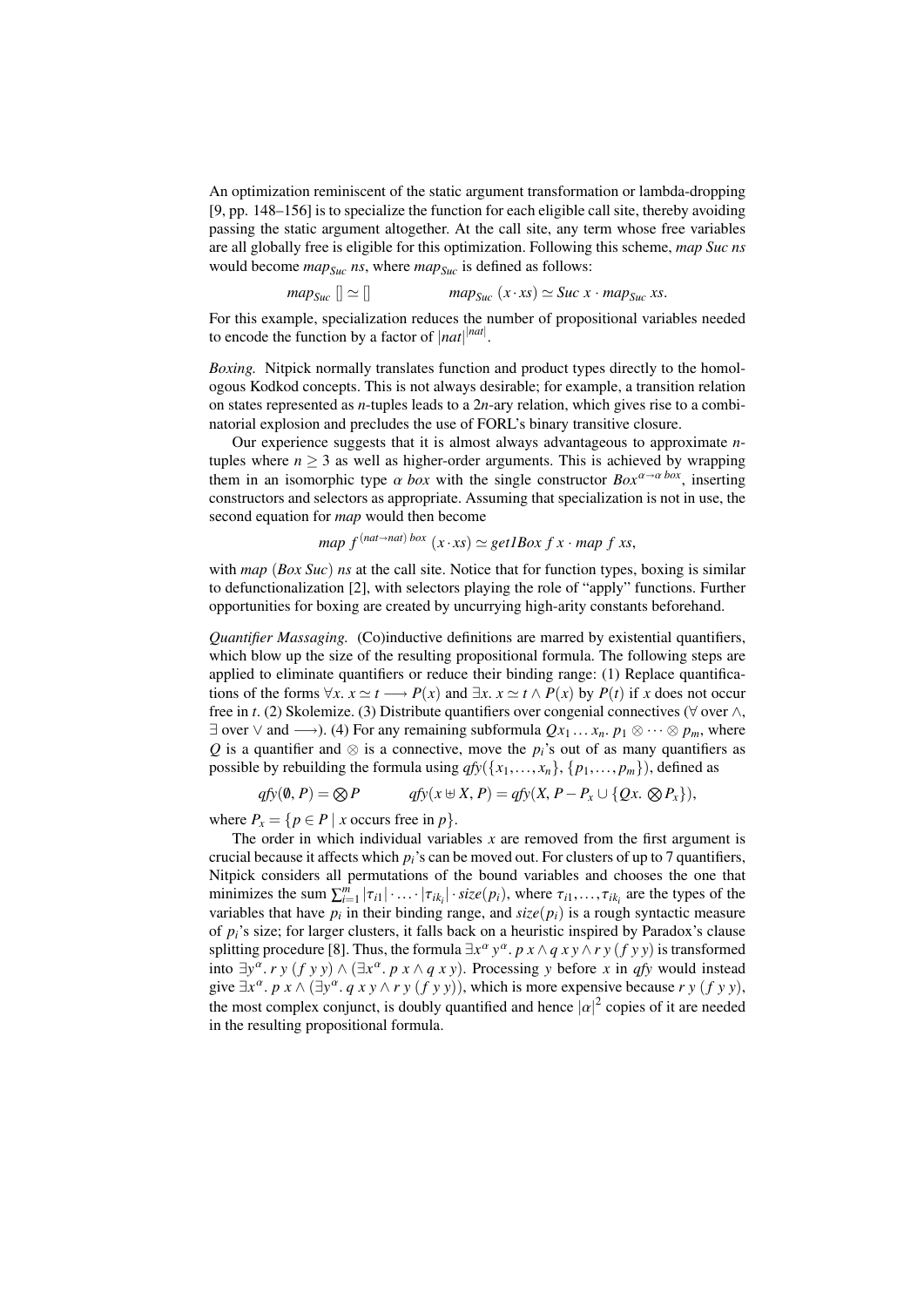An optimization reminiscent of the static argument transformation or lambda-dropping [9, pp. 148–156] is to specialize the function for each eligible call site, thereby avoiding passing the static argument altogether. At the call site, any term whose free variables are all globally free is eligible for this optimization. Following this scheme, *map Suc ns* would become *mapSuc ns*, where *mapSuc* is defined as follows:

$$
map_{Suc} [] \simeq [] \qquad map_{Suc} (x \cdot xs) \simeq Suc \; x \cdot map_{Suc} \; xs.
$$

For this example, specialization reduces the number of propositional variables needed to encode the function by a factor of  $|nat|^{$ 

*Boxing.* Nitpick normally translates function and product types directly to the homologous Kodkod concepts. This is not always desirable; for example, a transition relation on states represented as *n*-tuples leads to a 2*n*-ary relation, which gives rise to a combinatorial explosion and precludes the use of FORL's binary transitive closure.

Our experience suggests that it is almost always advantageous to approximate *n*tuples where  $n \geq 3$  as well as higher-order arguments. This is achieved by wrapping them in an isomorphic type  $\alpha$  *box* with the single constructor  $B\alpha x^{\alpha \rightarrow \alpha}$  *box*, inserting constructors and selectors as appropriate. Assuming that specialization is not in use, the second equation for *map* would then become

map 
$$
f^{(nat \rightarrow nat) box}(x \cdot xs) \simeq get1Box \; f \; x \cdot map \; f \; xs
$$
,

with *map* (*Box Suc*) *ns* at the call site. Notice that for function types, boxing is similar to defunctionalization [2], with selectors playing the role of "apply" functions. Further opportunities for boxing are created by uncurrying high-arity constants beforehand.

*Quantifier Massaging.* (Co)inductive definitions are marred by existential quantifiers, which blow up the size of the resulting propositional formula. The following steps are applied to eliminate quantifiers or reduce their binding range: (1) Replace quantifications of the forms  $\forall x$ .  $x \simeq t \longrightarrow P(x)$  and  $\exists x$ .  $x \simeq t \land P(x)$  by  $P(t)$  if *x* does not occur free in *t*. (2) Skolemize. (3) Distribute quantifiers over congenial connectives (∀ over ∧,  $\exists$  over  $\vee$  and  $\longrightarrow$ ). (4) For any remaining subformula  $Qx_1 \dots x_n$ .  $p_1 \otimes \cdots \otimes p_m$ , where *Q* is a quantifier and  $\otimes$  is a connective, move the *p*<sup>*i*</sup>'s out of as many quantifiers as possible by rebuilding the formula using  $qfy({x_1},...,x_n), {p_1},...,p_m)$ , defined as

$$
qfy(\emptyset, P) = \bigotimes P \qquad \qquad qfy(x \oplus X, P) = qfy(X, P - P_x \cup \{Qx, \bigotimes P_x\}),
$$

where  $P_x = \{p \in P \mid x \text{ occurs free in } p\}.$ 

The order in which individual variables  $x$  are removed from the first argument is crucial because it affects which *pi*'s can be moved out. For clusters of up to 7 quantifiers, Nitpick considers all permutations of the bound variables and chooses the one that minimizes the sum  $\sum_{i=1}^{m} |\tau_{i1}| \cdot ... \cdot |\tau_{ik_i}| \cdot \text{size}(p_i)$ , where  $\tau_{i1}, \dots, \tau_{ik_i}$  are the types of the variables that have *n*: in their binding range, and size(*n*·) is a rough syntactic measure variables that have  $p_i$  in their binding range, and  $size(p_i)$  is a rough syntactic measure of  $p_i$ 's size; for larger clusters, it falls back on a heuristic inspired by Paradox's clause splitting procedure [8]. Thus, the formula  $\exists x^{\alpha} y^{\alpha}$ . *p*  $x \wedge q xy \wedge ry$  (*f y y*) is transformed<br>into  $\exists y^{\alpha} y^{\alpha} (f y y) \wedge (\exists x^{\alpha} y^{\alpha} x^{\alpha} y)$ . Processing *y* before *x* in *a*fy would instead into  $\exists y^{\alpha}$ . *r y* (*f y y*)  $\land$  ( $\exists x^{\alpha}$ , *p x*  $\land$  *q x y*). Processing *y* before *x* in *qfy* would instead give  $\exists x^{\alpha}$ . *p*  $x \wedge (\exists y^{\alpha}$ . *q*  $x y \wedge r y$  (*f y y*)), which is more expensive because  $r y$  (*f y y*), the most complex conjunct, is doubly quantified and hence  $|\alpha|^2$  copies of it are needed<br>in the resulting propositional formula in the resulting propositional formula.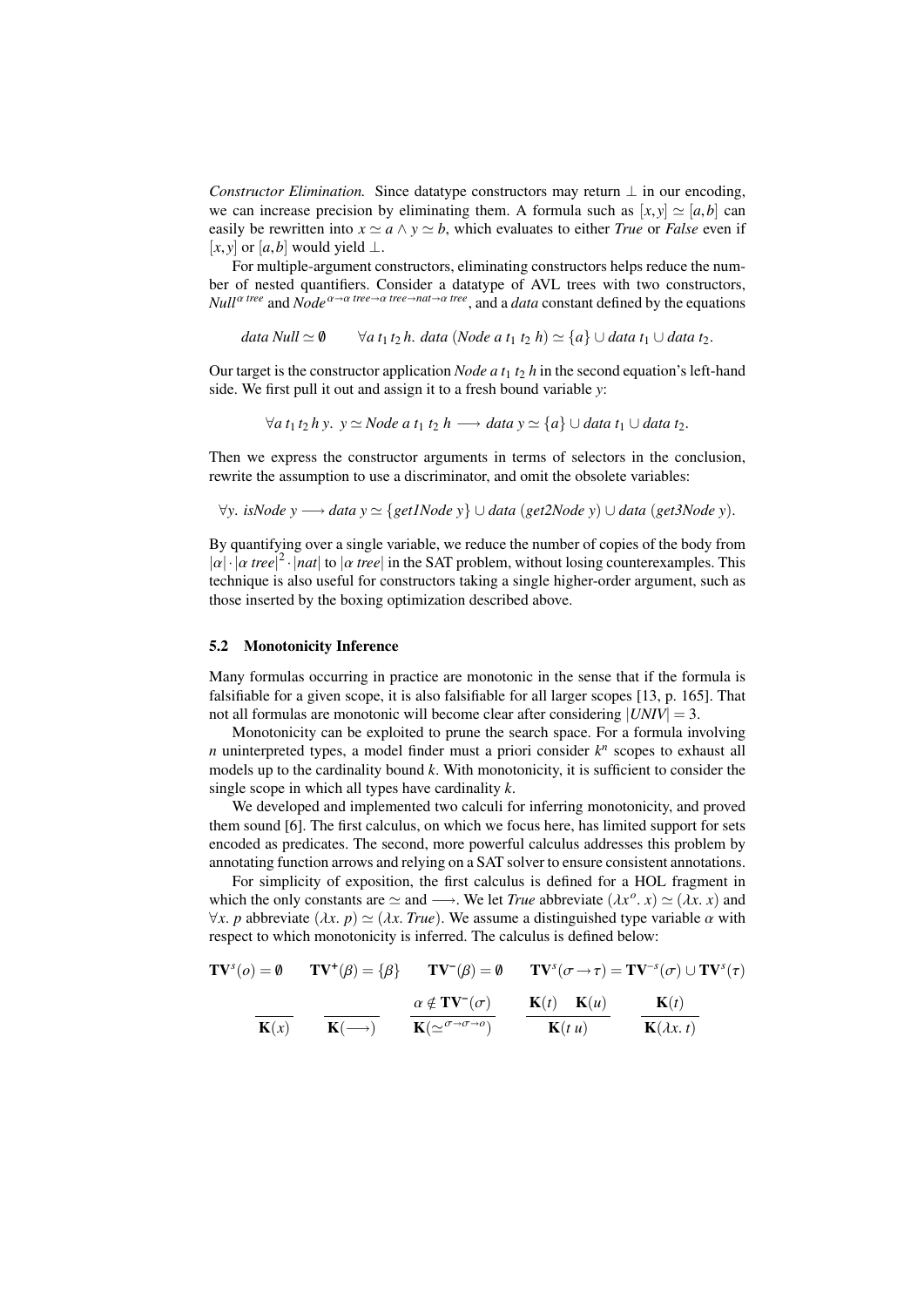*Constructor Elimination.* Since datatype constructors may return  $\perp$  in our encoding, we can increase precision by eliminating them. A formula such as  $[x, y] \simeq [a, b]$  can easily be rewritten into  $x \simeq a \wedge y \simeq b$ , which evaluates to either *True* or *False* even if  $[x, y]$  or  $[a, b]$  would yield ⊥.

For multiple-argument constructors, eliminating constructors helps reduce the number of nested quantifiers. Consider a datatype of AVL trees with two constructors, *Null*<sup>α tree</sup> and *Node*<sup>α→α tree→α *tree→nat→α tree*, and a *data* constant defined by the equations</sup>

*data Null*  $\simeq$  0  $\forall$  *a t*<sub>1</sub> *t*<sub>2</sub> *h*. *data* (*Node a t*<sub>1</sub> *t*<sub>2</sub> *h*)  $\simeq$  {*a*} ∪ *data t*<sub>1</sub> ∪ *data t*<sub>2</sub>.

Our target is the constructor application *Node*  $a t_1 t_2 h$  in the second equation's left-hand side. We first pull it out and assign it to a fresh bound variable *y*:

 $∀a t<sub>1</sub> t<sub>2</sub> h y. y ⊇ Node a t<sub>1</sub> t<sub>2</sub> h → data y ≈ {a} ∪ data t<sub>1</sub> ∪ data t<sub>2</sub>.$ 

Then we express the constructor arguments in terms of selectors in the conclusion, rewrite the assumption to use a discriminator, and omit the obsolete variables:

<sup>∀</sup>*y*. *isNode <sup>y</sup>* −→ *data <sup>y</sup>* ' {*get1Node <sup>y</sup>*} ∪ *data* (*get2Node <sup>y</sup>*) <sup>∪</sup> *data* (*get3Node <sup>y</sup>*).

By quantifying over a single variable, we reduce the number of copies of the body from  $|\alpha| \cdot |\alpha \text{ tree}|^2 \cdot |nat|$  to  $|\alpha \text{ tree}|$  in the SAT problem, without losing counterexamples. This technique is also useful for constructors taking a single higher-order argument, such as those inserted by the boxing optimization described above.

# 5.2 Monotonicity Inference

Many formulas occurring in practice are monotonic in the sense that if the formula is falsifiable for a given scope, it is also falsifiable for all larger scopes [13, p. 165]. That not all formulas are monotonic will become clear after considering  $|UNIV| = 3$ .

Monotonicity can be exploited to prune the search space. For a formula involving *n* uninterpreted types, a model finder must a priori consider  $k^n$  scopes to exhaust all models up to the cardinality bound *k*. With monotonicity, it is sufficient to consider the single scope in which all types have cardinality *k*.

We developed and implemented two calculi for inferring monotonicity, and proved them sound [6]. The first calculus, on which we focus here, has limited support for sets encoded as predicates. The second, more powerful calculus addresses this problem by annotating function arrows and relying on a SAT solver to ensure consistent annotations.

For simplicity of exposition, the first calculus is defined for a HOL fragment in which the only constants are  $\simeq$  and  $\longrightarrow$ . We let *True* abbreviate  $(\lambda x^{\circ}, x) \simeq (\lambda x, x)$  and  $\forall x$ , *n* abbreviate  $(\lambda x, n) \simeq (\lambda x, x)$  We assume a distinguished type variable  $\alpha$  with  $\forall x$ . *p* abbreviate ( $\lambda x$ . *p*)  $\simeq (\lambda x$ . *True*). We assume a distinguished type variable  $\alpha$  with respect to which monotonicity is inferred. The calculus is defined below:

$$
TV^{s}(o) = \emptyset \qquad TV^{+}(\beta) = {\beta} \qquad TV^{-}(\beta) = \emptyset \qquad TV^{s}(\sigma \to \tau) = TV^{-s}(\sigma) \cup TV^{s}(\tau)
$$

$$
\overline{K(x)} \qquad \overline{K(\longrightarrow)} \qquad \overline{K(\simeq^{\sigma \to \sigma \to o})} \qquad \overline{K(t) \qquad K(u)} \qquad \overline{K(tu)} \qquad \overline{K(\lambda x. t)}
$$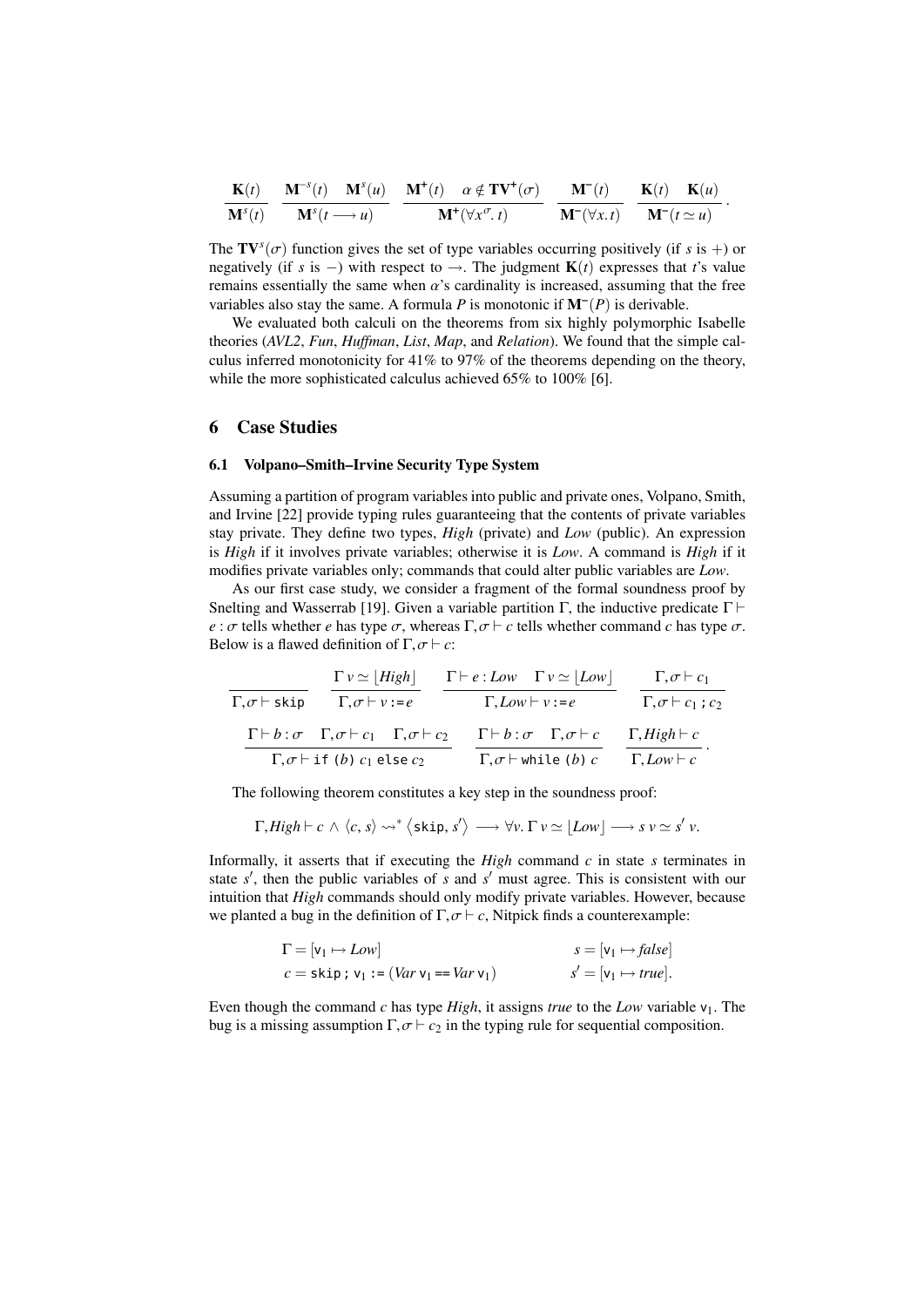$$
\frac{\mathbf{K}(t)}{\mathbf{M}^{s}(t)} \quad \frac{\mathbf{M}^{-s}(t)}{\mathbf{M}^{s}(t-\lambda u)} \quad \frac{\mathbf{M}^{+}(t)}{\mathbf{M}^{+}(\forall x^{\sigma}, t)} \quad \frac{\mathbf{M}^{-}(t)}{\mathbf{M}^{-}(\forall x \cdot t)} \quad \frac{\mathbf{M}^{-}(t)}{\mathbf{M}^{-}(\forall x \cdot t)} \quad \frac{\mathbf{K}(t)}{\mathbf{M}^{-}(t \simeq u)}.
$$

The  $\mathbf{TV}^s(\sigma)$  function gives the set of type variables occurring positively (if *s* is +) or negatively (if *s* is -) with respect to  $\rightarrow$  The judgment  $\mathbf{K}(t)$  expresses that *t*'s value negatively (if *s* is –) with respect to  $\rightarrow$ . The judgment **K**(*t*) expresses that *t*'s value remains essentially the same when  $\alpha$ 's cardinality is increased, assuming that the free variables also stay the same. A formula  $P$  is monotonic if  $M^{-}(P)$  is derivable.

We evaluated both calculi on the theorems from six highly polymorphic Isabelle theories (*AVL2*, *Fun*, *Huffman*, *List*, *Map*, and *Relation*). We found that the simple calculus inferred monotonicity for 41% to 97% of the theorems depending on the theory, while the more sophisticated calculus achieved 65% to 100% [6].

### 6 Case Studies

#### 6.1 Volpano–Smith–Irvine Security Type System

Assuming a partition of program variables into public and private ones, Volpano, Smith, and Irvine [22] provide typing rules guaranteeing that the contents of private variables stay private. They define two types, *High* (private) and *Low* (public). An expression is *High* if it involves private variables; otherwise it is *Low*. A command is *High* if it modifies private variables only; commands that could alter public variables are *Low*.

As our first case study, we consider a fragment of the formal soundness proof by Snelting and Wasserrab [19]. Given a variable partition Γ, the inductive predicate  $\Gamma \vdash$ *e* :  $\sigma$  tells whether *e* has type  $\sigma$ , whereas  $\Gamma$ ,  $\sigma$   $\vdash$  *c* tells whether command *c* has type  $\sigma$ . Below is a flawed definition of  $\Gamma$ ,  $\sigma \vdash c$ :

$$
\frac{\Gamma v \simeq [High]}{\Gamma, \sigma \vdash skip} \quad \frac{\Gamma v \simeq [High]}{\Gamma, \sigma \vdash v := e} \quad \frac{\Gamma \vdash e : Low \quad \Gamma v \simeq [Low]}{\Gamma, Low \vdash v := e} \quad \frac{\Gamma, \sigma \vdash c_1}{\Gamma, \sigma \vdash c_1 : c_2}
$$
\n
$$
\frac{\Gamma \vdash b : \sigma \quad \Gamma, \sigma \vdash c_1 \quad \Gamma, \sigma \vdash c_2}{\Gamma, \sigma \vdash \text{if (b) } c_1 \text{ else } c_2} \quad \frac{\Gamma \vdash b : \sigma \quad \Gamma, \sigma \vdash c}{\Gamma, \sigma \vdash \text{while (b) } c} \quad \frac{\Gamma, High \vdash c}{\Gamma, Low \vdash c}.
$$

The following theorem constitutes a key step in the soundness proof:

$$
\Gamma, High \vdash c \wedge \langle c, s \rangle \rightsquigarrow^* \langle \text{skip}, s' \rangle \longrightarrow \forall v. \Gamma \, v \simeq \lfloor Low \rfloor \longrightarrow s \, v \simeq s' \, v.
$$

Informally, it asserts that if executing the *High* command *c* in state *s* terminates in state  $s'$ , then the public variables of  $s$  and  $s'$  must agree. This is consistent with our intuition that *High* commands should only modify private variables. However, because we planted a bug in the definition of  $\Gamma$ ,  $\sigma \vdash c$ . Nitpick finds a counterexample:

$$
\Gamma = [\mathsf{v}_1 \mapsto Low] \qquad \qquad s = [\mathsf{v}_1 \mapsto false] \n c = \mathsf{skip} \; \mathsf{v}_1 := (Var \; \mathsf{v}_1 == Var \; \mathsf{v}_1) \qquad \qquad s' = [\mathsf{v}_1 \mapsto true].
$$

Even though the command  $c$  has type  $High$ , it assigns *true* to the *Low* variable  $v_1$ . The bug is a missing assumption  $\Gamma, \sigma \vdash c_2$  in the typing rule for sequential composition.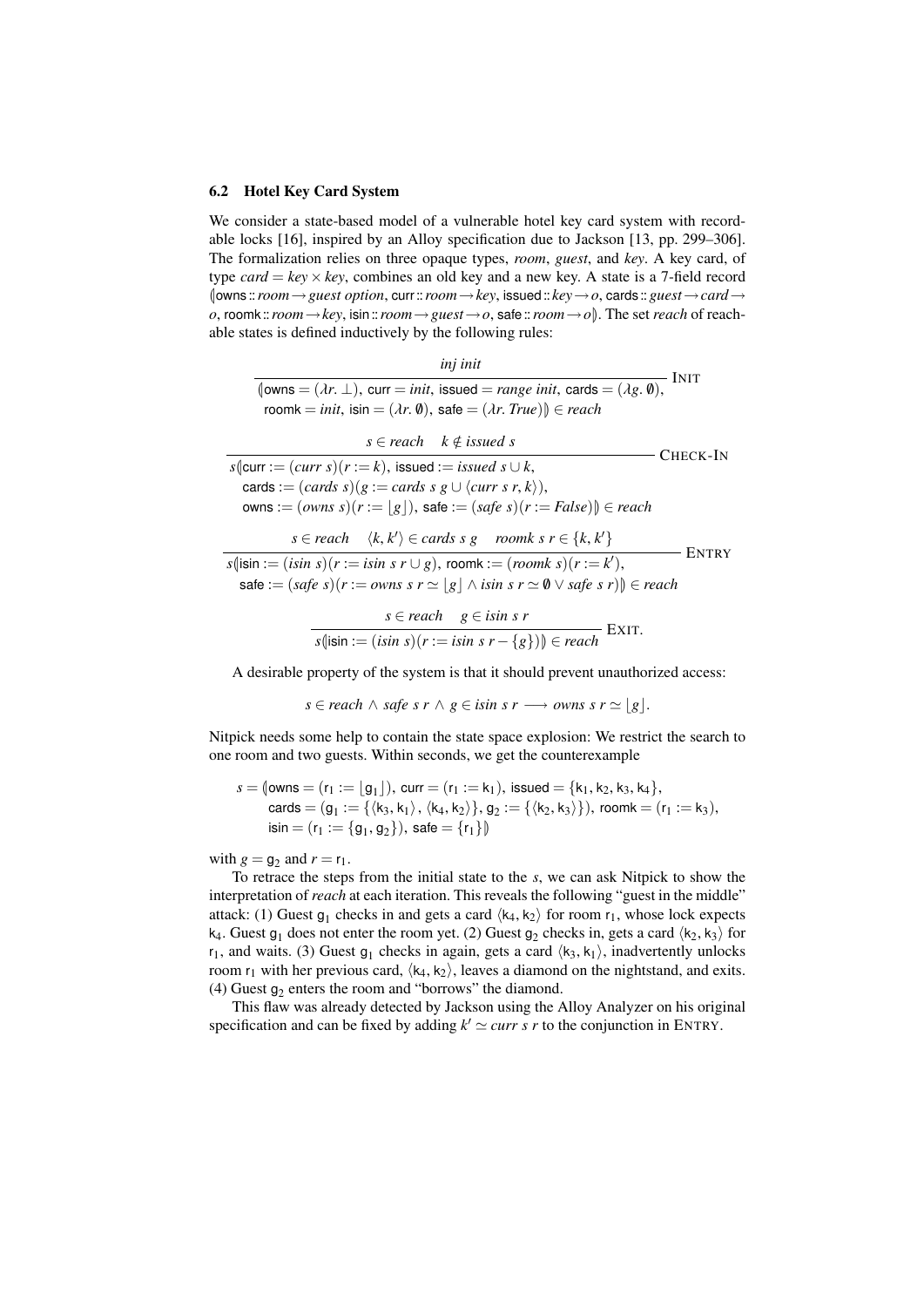### 6.2 Hotel Key Card System

We consider a state-based model of a vulnerable hotel key card system with recordable locks [16], inspired by an Alloy specification due to Jackson [13, pp. 299–306]. The formalization relies on three opaque types, *room*, *guest*, and *key*. A key card, of type *card* =  $key \times key$ , combines an old key and a new key. A state is a 7-field record (|owns ::*room*→*guest option*, curr::*room*→*key*, issued::*key*→*o*, cards ::*guest*→*card*<sup>→</sup> *o*, roomk::*room*→*key*, isin::*room*→*guest*→*o*, safe::*room*→*o*|). The set *reach* of reachable states is defined inductively by the following rules:

*inj init*

 $\sqrt{\text{Iowns} = (\lambda r, \perp), \text{curr} = \text{init}, \text{ issued} = \text{range init}, \text{cards} = (\lambda g, \emptyset),}$  INIT  $r$ oomk = *init*, isin =  $(\lambda r, \emptyset)$ , safe =  $(\lambda r, True)$ )  $\in reach$ 

| $s \in reach \quad k \notin issued \; s$                                                         |              |
|--------------------------------------------------------------------------------------------------|--------------|
| $s$ (curr := $(curr s)(r := k)$ , issued := <i>issued s</i> $\cup k$ ,                           | CHECK-IN     |
| cards := $(cards s)(g := cards s g \cup \langle curr s r, k \rangle)$ ,                          |              |
| owns := $(owns s)(r :=  g )$ , safe := $(safe s)(r := False)$ $\in reach$                        |              |
| $s \in reach \quad \langle k, k' \rangle \in cards \ s \ g \quad room \ s \ r \in \{k, k'\}$     | <b>ENTRY</b> |
| $s$ (isin := $(i\sin s)(r := i\sin s r \cup g)$ , roomk := $(roomk s)(r := k')$ ,                |              |
| safe := $(safe s)(r := owns s r \approx  g  \land isin s r \approx 0 \lor safe s r)$ $\in reach$ |              |

$$
s \in reach \quad g \in is \quad s \quad r
$$

$$
s(\text{isin} := (\text{isin } s)(r := \text{isin } s r - \{g\})) \in \text{reach}
$$
Exrr.

A desirable property of the system is that it should prevent unauthorized access:

 $s \in$  *reach*  $\land$  *safe*  $s r \land g \in$  *isin*  $s r \rightarrow$  *owns*  $s r \simeq |g|$ .

Nitpick needs some help to contain the state space explosion: We restrict the search to one room and two guests. Within seconds, we get the counterexample

$$
s = (\text{owns} = (r_1 := \lfloor g_1 \rfloor), \text{ curr} = (r_1 := k_1), \text{ issued} = \{k_1, k_2, k_3, k_4\},
$$
  

$$
\text{cards} = (g_1 := \{\langle k_3, k_1 \rangle, \langle k_4, k_2 \rangle\}, g_2 := \{\langle k_2, k_3 \rangle\}), \text{roomk} = (r_1 := k_3),
$$
  

$$
\text{isin} = (r_1 := \{g_1, g_2\}), \text{safe} = \{r_1\}\}
$$

with  $g = g_2$  and  $r = r_1$ .

To retrace the steps from the initial state to the *s*, we can ask Nitpick to show the interpretation of *reach* at each iteration. This reveals the following "guest in the middle" attack: (1) Guest  $g_1$  checks in and gets a card  $\langle k_4, k_2 \rangle$  for room  $r_1$ , whose lock expects  $k_4$ . Guest  $g_1$  does not enter the room yet (2) Guest  $g_2$  checks in gets a card  $\langle k_2, k_3 \rangle$  for k<sub>4</sub>. Guest g<sub>1</sub> does not enter the room yet. (2) Guest g<sub>2</sub> checks in, gets a card  $\langle k_2, k_3 \rangle$  for  $k_1$  and waits (3) Guest g<sub>1</sub> checks in again, gets a card  $\langle k_2, k_3 \rangle$  inadvertently unlocks  $r_1$ , and waits. (3) Guest  $g_1$  checks in again, gets a card  $\langle k_3, k_1 \rangle$ , inadvertently unlocks<br>room  $r_1$  with her previous card  $\langle k_1, k_2 \rangle$  leaves a diamond on the nightstand, and exits room  $r_1$  with her previous card,  $\langle k_4, k_2 \rangle$ , leaves a diamond on the nightstand, and exits. (4) Guest  $g_2$  enters the room and "borrows" the diamond.

This flaw was already detected by Jackson using the Alloy Analyzer on his original specification and can be fixed by adding  $k' \simeq \text{curr } s \, r$  to the conjunction in ENTRY.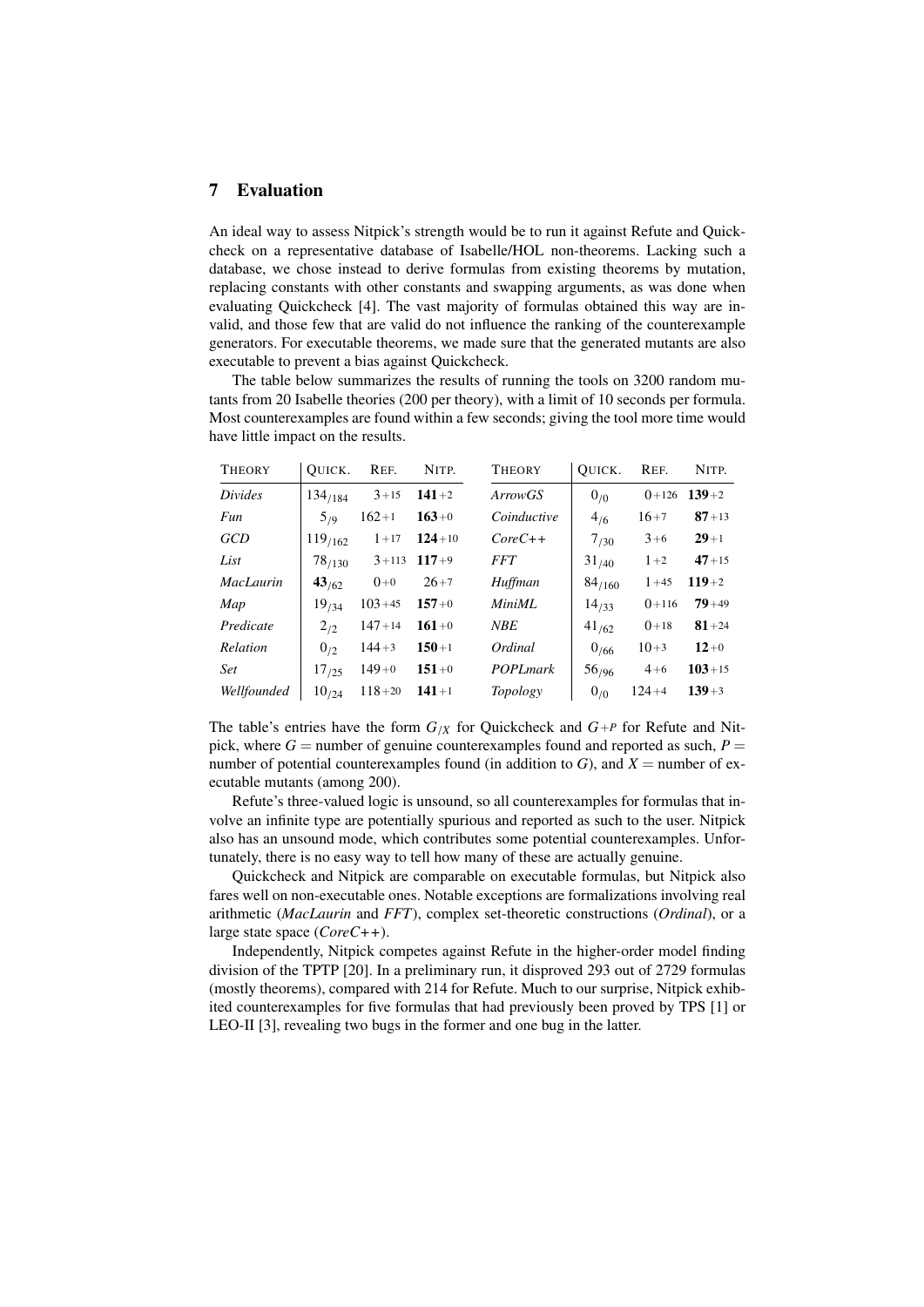# 7 Evaluation

An ideal way to assess Nitpick's strength would be to run it against Refute and Quickcheck on a representative database of Isabelle/HOL non-theorems. Lacking such a database, we chose instead to derive formulas from existing theorems by mutation, replacing constants with other constants and swapping arguments, as was done when evaluating Quickcheck [4]. The vast majority of formulas obtained this way are invalid, and those few that are valid do not influence the ranking of the counterexample generators. For executable theorems, we made sure that the generated mutants are also executable to prevent a bias against Quickcheck.

The table below summarizes the results of running the tools on 3200 random mutants from 20 Isabelle theories (200 per theory), with a limit of 10 seconds per formula. Most counterexamples are found within a few seconds; giving the tool more time would have little impact on the results.

| <b>THEORY</b>    | OUICK.       | REF.       | NITP.           | <b>THEORY</b>  |             | OUICK.      | REF.       | NITP.      |
|------------------|--------------|------------|-----------------|----------------|-------------|-------------|------------|------------|
| Divides          | 134/184      | $3 + 15$   | $141+2$         | <i>ArrowGS</i> |             | $0_{/0}$    | $() + 126$ | $139+2$    |
| Fun              | 5/9          | $162+1$    | $163+0$         |                | Coinductive | 4/6         | $16 + 7$   | $87 + 13$  |
| <b>GCD</b>       | $119_{/162}$ | $1 + 17$   | $124 + 10$      | $CoreC++$      |             | $7_{/30}$   | $3+6$      | $29+1$     |
| List             | 78/130       |            | $3+113$ $117+9$ | <i>FFT</i>     |             | $31_{/40}$  | $1+2$      | $47 + 15$  |
| <b>MacLaurin</b> | 43/62        | $0+0$      | $26+7$          | Huffman        |             | $84_{/160}$ | $1 + 45$   | $119+2$    |
| Map              | 19/34        | $103 + 45$ | $157+0$         | MiniML         |             | $14_{/33}$  | $0+116$    | $79 + 49$  |
| Predicate        | $2_{12}$     | $147 + 14$ | $161+0$         | NBE            |             | $41_{/62}$  | $0+18$     | $81 + 24$  |
| Relation         | $0_{/2}$     | $144 + 3$  | $150 + 1$       | Ordinal        |             | 0/66        | $10+3$     | $12+0$     |
| <b>Set</b>       | $17_{/25}$   | $149+0$    | $151+0$         |                | POPLmark    | $56_{/96}$  | $4+6$      | $103 + 15$ |
| Wellfounded      | $10_{/24}$   | $118 + 20$ | $141+1$         | Topology       |             | $0_{/0}$    | $124 + 4$  | $139 + 3$  |

The table's entries have the form  $G_{/X}$  for Quickcheck and  $G_{+P}$  for Refute and Nitpick, where  $G =$  number of genuine counterexamples found and reported as such,  $P =$ number of potential counterexamples found (in addition to  $G$ ), and  $X =$  number of executable mutants (among 200).

Refute's three-valued logic is unsound, so all counterexamples for formulas that involve an infinite type are potentially spurious and reported as such to the user. Nitpick also has an unsound mode, which contributes some potential counterexamples. Unfortunately, there is no easy way to tell how many of these are actually genuine.

Quickcheck and Nitpick are comparable on executable formulas, but Nitpick also fares well on non-executable ones. Notable exceptions are formalizations involving real arithmetic (*MacLaurin* and *FFT*), complex set-theoretic constructions (*Ordinal*), or a large state space (*CoreC++*).

Independently, Nitpick competes against Refute in the higher-order model finding division of the TPTP [20]. In a preliminary run, it disproved 293 out of 2729 formulas (mostly theorems), compared with 214 for Refute. Much to our surprise, Nitpick exhibited counterexamples for five formulas that had previously been proved by TPS [1] or LEO-II [3], revealing two bugs in the former and one bug in the latter.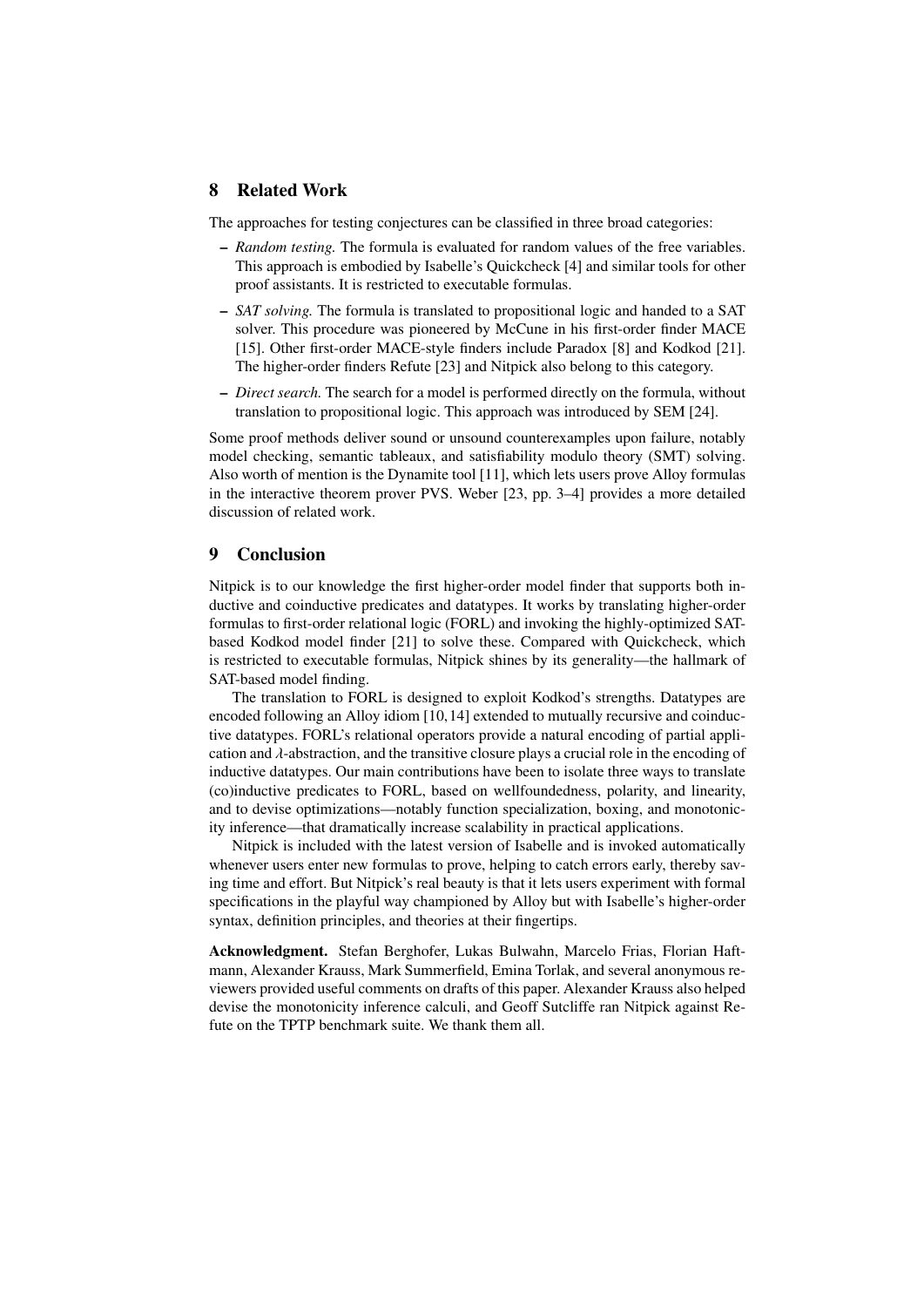# 8 Related Work

The approaches for testing conjectures can be classified in three broad categories:

- *Random testing.* The formula is evaluated for random values of the free variables. This approach is embodied by Isabelle's Quickcheck [4] and similar tools for other proof assistants. It is restricted to executable formulas.
- *SAT solving.* The formula is translated to propositional logic and handed to a SAT solver. This procedure was pioneered by McCune in his first-order finder MACE [15]. Other first-order MACE-style finders include Paradox [8] and Kodkod [21]. The higher-order finders Refute [23] and Nitpick also belong to this category.
- *Direct search.* The search for a model is performed directly on the formula, without translation to propositional logic. This approach was introduced by SEM [24].

Some proof methods deliver sound or unsound counterexamples upon failure, notably model checking, semantic tableaux, and satisfiability modulo theory (SMT) solving. Also worth of mention is the Dynamite tool [11], which lets users prove Alloy formulas in the interactive theorem prover PVS. Weber [23, pp. 3–4] provides a more detailed discussion of related work.

# 9 Conclusion

Nitpick is to our knowledge the first higher-order model finder that supports both inductive and coinductive predicates and datatypes. It works by translating higher-order formulas to first-order relational logic (FORL) and invoking the highly-optimized SATbased Kodkod model finder [21] to solve these. Compared with Quickcheck, which is restricted to executable formulas, Nitpick shines by its generality—the hallmark of SAT-based model finding.

The translation to FORL is designed to exploit Kodkod's strengths. Datatypes are encoded following an Alloy idiom [10,14] extended to mutually recursive and coinductive datatypes. FORL's relational operators provide a natural encoding of partial application and  $\lambda$ -abstraction, and the transitive closure plays a crucial role in the encoding of inductive datatypes. Our main contributions have been to isolate three ways to translate (co)inductive predicates to FORL, based on wellfoundedness, polarity, and linearity, and to devise optimizations—notably function specialization, boxing, and monotonicity inference—that dramatically increase scalability in practical applications.

Nitpick is included with the latest version of Isabelle and is invoked automatically whenever users enter new formulas to prove, helping to catch errors early, thereby saving time and effort. But Nitpick's real beauty is that it lets users experiment with formal specifications in the playful way championed by Alloy but with Isabelle's higher-order syntax, definition principles, and theories at their fingertips.

Acknowledgment. Stefan Berghofer, Lukas Bulwahn, Marcelo Frias, Florian Haftmann, Alexander Krauss, Mark Summerfield, Emina Torlak, and several anonymous reviewers provided useful comments on drafts of this paper. Alexander Krauss also helped devise the monotonicity inference calculi, and Geoff Sutcliffe ran Nitpick against Refute on the TPTP benchmark suite. We thank them all.